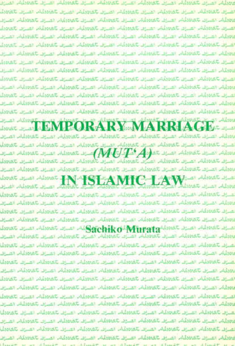doorect by In thus to be the themes to be the common the or absent to , Jamelin 12 11 Jamelin 12 Jamelin 12 12 Jamelin, 12 12 Jamelin, 13 13 بالمساف للمعطف بمساف للمعدنة فالمسرف للمعدنة والمسرف للمعدنة فسرون للعبدية لمصددانات الصرابا لمصدوقات الصرابا لمصدقات الصراف المحدقات المسافية الصراف كمعدلة صاد على المعادلة المالي كالمعدلة المال كمعدلة المسافية الموالة المالية المالية statesting the the statesting of statesting the to statesting the term of the team Reported the 14 Secretary than the Secretary of the collection of the 14 Secretary of Secretary of the 14 Secretary of the 14 Secretary of the 14 Secretary of the 14 Secretary of the 14 Secretary of the 14 Secretary of the JAMALA TE TE MONA TE TE JAMALA TE TE JAMALA TE TA JAMALA **Jonat** مثلات الصراف بالمعملكي الصراف بالمعدوليات الصراف بالمعمليات الصراف بالمعمليات الم of the the case theold a child the cold case of the cold termin in a termin me comming me termin ii Sheeth is it Sheeth to it Sheeth to it Sheeth كمخدوشة المسوق كمحوضها المسوق كمحوفتها المساف كمحوفتها المساف كمحوضة المسو **RARY MARRIA** at Albert إلى تتمسكم حصي تتمسكم خصيص تتمسكم حصيص تتمسيني حصيص تتمسطم الص الصراف Sarat المراف Sarat المراف Sarat المراف المرافق المعادلة المراف كمعدل  $\overline{MUE}$  , الصبابل للتعرفي $\overline{MUE}$  , الصبابل العصابية المسترف للتعرفية المسترفد מתוצבת הביוות ממוצגות הביות ממוצגים הביות ממוצגת הביות ממוצגת הביות Louis Search Annae IN ISLAMIC LAW كمعطية القبران كمعطية المبرق فمعدلة المرزق فمعيلها فضاف فمعدلة المساف in Javelle, in a Javelle, in ju Javelle, in a Javelle, inge Javelle, Javelle, inge كمعدلة الفنزي كفعيلة المرزد كفعيلة المرح لتعميله مصرف كمعيارة الصرف كمعدلة بممثلة مسرك كمحمله اسرك كمحمله السرك السريد المحلفة السرف كمحمله السرف كمحملها المسرك donat the state of the Sachiko Minrata donat the state of the state of the same of the same of the same of the ن الصيارة بالمعدية، إن الصيارة بالجديدية، الصيارة بالمحديدة، الصيارة الجديدية، الصيارة بالمحدية، الصيرى Chrossin, racist Chrossin, racist Chrossin, racist racist, racist chrossin, racist chrossin كالمعطفة المدري كالمعطفة المدري كالمعطفة المدران كلوعطفة المدران كالمعطفة المدرق a threath in a threath is is the discript is a stable in Usant H. ئاللەلدىللەر «ھىراس ئالمەدەللەر» ھىراس ئالتانلارلىلەر «ھىرات ئالتانلارلىلەر» ئالتانلاقلاقلار «ھىرات الا تخميلهم اعتراك تحميلهم الصاف تخليلهم الصرف تخليلهم الصرق . بالصعودية الصاحي بالصودية الصاحي بالصعودية الصاحب المعطية الصاحي بالصودية. الصاح معددتهم المراجر التماريقي المراجي للمعدلة، ممراجر للمعدلة، المراجر للمعدنة، المراجر للمعدنة . تقصيلك العارض تقصيلك العارف تقصيلك العارض تقصيلك العارق تتهييلك العارس ر <u>اصاد تعاملاته امراد</u> تعملها اصاد تعملها حرين تمميزها اصال تعمدا Intellection in the James of the Commission in the Commission in . *Charles American Controlling Charles Manuel Charles Co* Character proble name taroche name taroche name taroche name taroche name taroche raine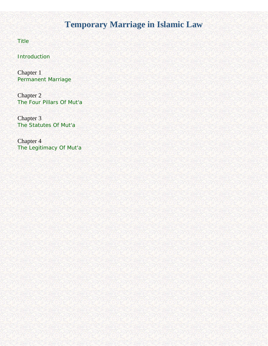# **Temporary Marriage in Islamic Law**

<span id="page-1-0"></span>**[Title](#page-2-0)** 

**[Introduction](#page-3-0)** 

Chapter 1 [Permanent Marriage](#page-4-0)

Chapter 2 [The Four Pillars Of Mut'a](#page-22-0)

Chapter 3 [The Statutes Of Mut'a](#page-36-0) 

Chapter 4 [The Legitimacy Of Mut'a](#page-45-0)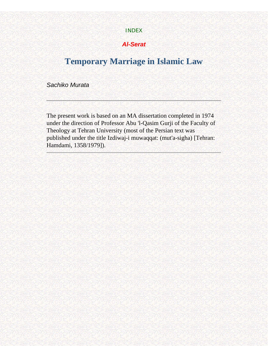#### [INDEX](#page-1-0)

## **Al-Serat**

# <span id="page-2-1"></span><span id="page-2-0"></span>**Temporary Marriage in Islamic Law**

Sachiko Murata

The present work is based on an MA dissertation completed in 1974 under the direction of Professor Abu 'l-Qasim Gurji of the Faculty of Theology at Tehran University (most of the Persian text was published under the title Izdiwaj-i muwaqqat: (mut'a-sigha) [Tehran: Hamdami, 1358/1979]).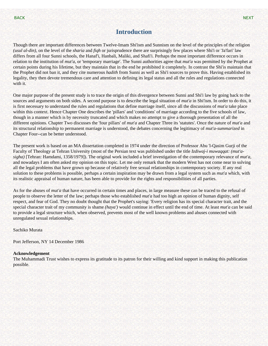## **Introduction**

<span id="page-3-1"></span><span id="page-3-0"></span>Though there are important differences between Twelve-Imam Shi'ism and Sunnism on the level of the principles of the religion *(usul al-din),* on the level of the *sharia* and *fiqh* or jurisprudence there are surprisingly few places where Shi'i or 'Ja'fari' law differs from all four Sunni schools, the Hanaf'i, Hanbali, Maliki, and Shafi'i. Perhaps the most important difference occurs in relation to the institution of *mut'a,* or 'temporary marriage'. The Sunni authorities agree that *mut'a* was permitted by the Prophet at certain points during his lifetime, but they maintain that in the end he prohibited it completely. In contrast the Shi'is maintain that the Prophet did not ban it, and they cite numerous *hadith* from Sunni as well as Shi'i sources to prove this. Having established its legality, they then devote tremendous care and attention to defining its legal status and all the rules and regulations connected with it.

One major purpose of the present study is to trace the origin of this divergence between Sunni and Shi'i law by going back to the sources and arguments on both sides. A second purpose is to describe the legal situation of *mut'a* in Shi'ism. In order to do this, it is first necessary to understand the rules and regulations that define marriage itself, since all the discussions of *mut'a* take place within this context. Hence Chapter One describes the 'pillars' and 'conditions' of marriage according to the five schools of law, though in a manner which is by necessity truncated and which makes no attempt to give a thorough presentation of all the different opinions. Chapter Two discusses the 'four pillars' of *mut'a* and Chapter Three its 'statutes'. Once the nature of *mut'a* and its structural relationship to permanent marriage is understood, the debates concerning the legitimacy of *mut'a-summarized* in Chapter Four--can be better understood.

The present work is based on an MA dissertation completed in 1974 under the direction of Professor Abu 'l-Qasim Gurji of the Faculty of Theology at Tehran University (most of the Persian text was published under the title *Izdiwaj-i muwaqqat: (mut'asigha)* [Tehran: Hamdami, 1358/1979]). The original work included a brief investigation of the contemporary relevance of *mut'a,*  and nowadays I am often asked my opinion on this topic. Let me only remark that the modern West has not come near to solving all the legal problems that have grown up because of relatively free sexual relationships in contemporary society. If any real solution to these problems is possible, perhaps a certain inspiration may be drawn from a legal system such as *mut'a* which, with its realistic appraisal of human nature, has been able to provide for the rights and responsibilities of all parties.

As for the abuses of *mut'a* that have occurred in certain times and places, in large measure these can be traced to the refusal of people to observe the letter of the law; perhaps those who established *mut'a* had too high an opinion of human dignity, self respect, and fear of God. They no doubt thought that the Prophet's saying: 'Every religion has its special character trait, and the special character trait of my community is shame *(haya')* would continue in effect until the end of time. At least *mut'a* can be said to provide a legal structure which, when observed, prevents most of the well known problems and abuses connected with unregulated sexual relationships.

Sachiko Murata

Port Jefferson, NY 14 December 1986

#### **Acknowledgement**

The Muhammadi Trust wishes to express its gratitude to its patron for their willing and kind support in making this publication possible.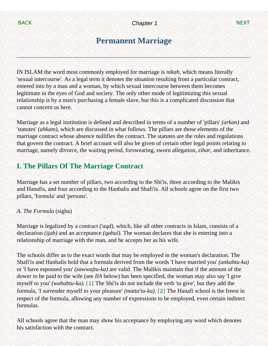# **Permanent Marriage**

<span id="page-4-1"></span><span id="page-4-0"></span>IN ISLAM the word most commonly employed for marriage is *nikah,* which means literally 'sexual intercourse'. As a legal term it denotes the situation resulting from a particular contract, entered into by a man and a woman, by which sexual intercourse between them becomes legitimate in the eyes of God and society. The only other mode of legitimizing this sexual relationship is by a man's purchasing a female slave, but this is a complicated discussion that cannot concern us here.

Marriage as a legal institution is defined and described in terms of a number of 'pillars' *(arkan)* and 'statutes' *(ahkam),* which are discussed in what follows. The pillars are those elements of the marriage contract whose absence nullifies the contract. The statutes are the rules and regulations that govern the contract. A brief account will also be given of certain other legal points relating to marriage, namely divorce, the waiting period, forswearing, sworn allegation, *zihar,* and inheritance.

## **I. The Pillars Of The Marriage Contract**

Marriage has a set number of pillars, two according to the Shi'is, three according to the Malikis and Hanafis, and four according to the Hanbalis and Shafi'is. All schools agree on the first two pillars, 'formula' and 'persons'.

## *A. The Formula* (sigha)

Marriage is legalized by a contract ('*aqd),* which, like all other contracts in Islam, consists of a declaration *(ijab)* and an acceptance *(qabul).* The woman declares that she is entering into a relationship of marriage with the man, and he accepts her as his wife.

The schools differ as to the exact words that may be employed in the woman's declaration. The Shafi'is and Hanbalis hold that a formula derived from the words 'I have married you' *(ankahtu-ka)*  or 'I have espoused you' *(zawwajtu-ka)* are valid. The Malikis maintain that if the amount of the dower to be paid to the wife (see *IlA* below) has been specified, the woman may also say 'I give myself to you' *(wahabtu-ka).* [\[1\]](#page-17-0) The Shi'is do not include the verb 'to give', but they add the formula, 'I surrender myself to your pleasure' *(matta'tu-ka).* [\[2\]](#page-17-1) The Hanafi school is the freest in respect of the formula, allowing any number of expressions to be employed, even certain indirect formulas.

<span id="page-4-3"></span><span id="page-4-2"></span>All schools agree that the man may show his acceptance by employing any word which denotes his satisfaction with the contract.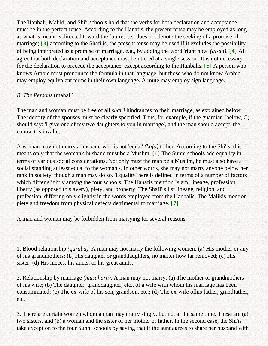<span id="page-5-1"></span><span id="page-5-0"></span>The Hanbali, Maliki, and Shi'i schools hold that the verbs for both declaration and acceptance must be in the perfect tense. According to the Hanafis, the present tense may be employed as long as what is meant is directed toward the future, i.e., does not denote the seeking of a promise of marriage; [\[3\]](#page-17-2) according to the Shafi'is, the present tense may be used if it excludes the possibility of being interpreted as a promise of marriage, e.g., by adding the word 'right now' *(al-an).* [\[4\]](#page-17-3) All agree that both declaration and acceptance must be uttered at a single session. It is not necessary for the declaration to precede the acceptance, except according to the Hanbalis. [\[5\]](#page-18-0) A person who knows Arabic must pronounce the formula in that language, but those who do not know Arabic may employ equivalent terms in their own language. A mute may employ sign language.

## <span id="page-5-2"></span>*B. The Persons* (mahall)

The man and woman must be free of all *shar'i* hindrances to their marriage, as explained below. The identity of the spouses must be clearly specified. Thus, for example, if the guardian (below, C) should say: 'I give one of my two daughters to you in marriage', and the man should accept, the contract is invalid.

<span id="page-5-3"></span>A woman may not marry a husband who is not 'equal' *(kafa)* to her. According to the Shi'is, this means only that the woman's husband must be a Muslim. [\[6\]](#page-18-1) The Sunni schools add equality in terms of various social considerations. Not only must the man be a Muslim, he must also have a social standing at least equal to the woman's. In other words, she may not marry anyone below her rank in society, though a man may do so. 'Equality' here is defined in terms of a number of factors which differ slightly among the four schools. The Hanafis mention Islam, lineage, profession, liberty (as opposed to slavery), piety, and property. The Shafi'is list lineage, religion, and profession, differing only slightly in the words employed from the Hanbalis. The Malikis mention piety and freedom from physical defects detrimental to marriage. [\[7\]](#page-18-2)

<span id="page-5-4"></span>A man and woman may be forbidden from marrying for several reasons:

1. Blood relationship *(qaraba).* A man may not marry the following women: (a) His mother or any of his grandmothers; (b) His daughter or granddaughters, no matter how far removed; (c) His sister; (d) His nieces, his aunts, or his great aunts.

2. Relationship by marriage *(musahara).* A man may not marry: (a) The mother or grandmothers of his wife; (b) The daughter, granddaughter, etc., of a wife with whom his marriage has been consummated; (c) The ex-wife of his son, grandson, etc.; (d) The ex-wife ofhis father, grandfather, etc.

3. There are certain women whom a man may marry singly, but not at the same time. These are (a) two sisters, and (b) a woman and the sister of her mother or father. In the second case, the Shi'is take exception to the four Sunni schools by saying that if the aunt agrees to share her husband with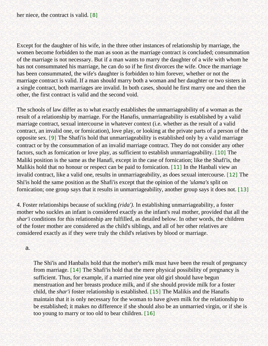<span id="page-6-0"></span>Except for the daughter of his wife, in the three other instances of relationship by marriage, the women become forbidden to the man as soon as the marriage contract is concluded; consummation of the marriage is not necessary. But if a man wants to marry the daughter of a wife with whom he has not consummated his marriage, he can do so if he first divorces the wife. Once the marriage has been consummated, the wife's daughter is forbidden to him forever, whether or not the marriage contract is valid. If a man should marry both a woman and her daughter or two sisters in a single contract, both marriages are invalid. In both cases, should he first marry one and then the other, the first contract is valid and the second void.

<span id="page-6-2"></span><span id="page-6-1"></span>The schools of law differ as to what exactly establishes the unmarriageability of a woman as the result of a relationship by marriage. For the Hanafis, unmarriageability is established by a valid marriage contract, sexual intercourse in whatever context (i.e. whether as the result of a valid contract, an invalid one, or fornication), love play, or looking at the private parts of a person of the opposite sex. [\[9\]](#page-18-4) The Shafi'is hold that unmarriageability is established only by a valid marriage contract or by the consummation of an invalid marriage contract. They do not consider any other factors, such as fornication or love play, as sufficient to establish unmarriageability. [\[10\]](#page-18-5) The Maliki position is the same as the Hanafi, except in the case of fornication; like the Shafi'is, the Malikis hold that no honour or respect can be paid to fornication. [\[11\]](#page-18-6) In the Hanbali view an invalid contract, like a valid one, results in unmarriageability, as does sexual intercourse. [\[12\]](#page-18-7) The Shi'is hold the same position as the Shafi'is except that the opinion of the *'ulama's* split on fornication; one group says that it results in unmarriageability, another group says it does not. [\[13\]](#page-18-8)

<span id="page-6-5"></span><span id="page-6-4"></span><span id="page-6-3"></span>4. Foster relationships because of suckling *(rida').* In establishing unmarriageability, a foster mother who suckles an infant is considered exactly as the infant's real mother, provided that all the *shar'i* conditions for this relationship are fulfilled, as detailed below. In other words, the children of the foster mother are considered as the child's siblings, and all of her other relatives are considered exactly as if they were truly the child's relatives by blood or marriage.

a.

<span id="page-6-8"></span><span id="page-6-7"></span><span id="page-6-6"></span>The Shi'is and Hanbalis hold that the mother's milk must have been the result of pregnancy from marriage. [\[14\]](#page-18-9) The Shafi'is hold that the mere physical possibility of pregnancy is sufficient. Thus, for example, if a married nine year old girl should have begun menstruation and her breasts produce milk, and if she should provide milk for a foster child, the *shar'i* foster relationship is established. [\[15\]](#page-18-10) The Malikis and the Hanafis maintain that it is only necessary for the woman to have given milk for the relationship to be established; it makes no difference if she should also be an unmarried virgin, or if she is too young to marry or too old to bear children. [\[16\]](#page-18-11)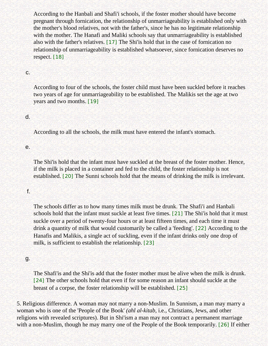According to the Hanbali and Shafi'i schools, if the foster mother should have become pregnant through fornication, the relationship of unmarriageability is established only with the mother's blood relatives, not with the father's, since he has no legitimate relationship with the mother. The Hanafi and Maliki schools say that unmarriageability is established also with the father's relatives. [\[17\]](#page-18-12) The Shi'is hold that in the case of fornication no relationship of unmarriageability is established whatsoever, since fornication deserves no respect. [\[18\]](#page-18-13)

#### <span id="page-7-1"></span><span id="page-7-0"></span>c.

According to four of the schools, the foster child must have been suckled before it reaches two years of age for unmarriageability to be established. The Malikis set the age at two years and two months. [\[19\]](#page-18-14)

#### <span id="page-7-2"></span>d.

According to all the schools, the milk must have entered the infant's stomach.

#### e.

The Shi'is hold that the infant must have suckled at the breast of the foster mother. Hence, if the milk is placed in a container and fed to the child, the foster relationship is not established. [\[20\]](#page-18-15) The Sunni schools hold that the means of drinking the milk is irrelevant.

#### <span id="page-7-3"></span>f.

<span id="page-7-4"></span>The schools differ as to how many times milk must be drunk. The Shafi'i and Hanbali schools hold that the infant must suckle at least five times. [\[21\]](#page-18-16) The Shi'is hold that it must suckle over a period of twenty-four hours or at least fifteen times, and each time it must drink a quantity of milk that would customarily be called a 'feeding'. [\[22\]](#page-18-17) According to the Hanafis and Malikis, a single act of suckling, even if the infant drinks only one drop of milk, is sufficient to establish the relationship. [\[23\]](#page-18-18)

#### <span id="page-7-6"></span><span id="page-7-5"></span>g.

The Shafi'is and the Shi'is add that the foster mother must be alive when the milk is drunk. [\[24\]](#page-18-19) The other schools hold that even if for some reason an infant should suckle at the breast of a corpse, the foster relationship will be established. [\[25\]](#page-19-0)

<span id="page-7-9"></span><span id="page-7-8"></span><span id="page-7-7"></span>5. Religious difference. A woman may not marry a non-Muslim. In Sunnism, a man may marry a woman who is one of the 'People of the Book' *(ahl al-kitab,* i.e., Christians, Jews, and other religions with revealed scriptures). But in Shi'ism a man may not contract a permanent marriage with a non-Muslim, though he may marry one of the People of the Book temporarily. [\[26\]](#page-19-1) If either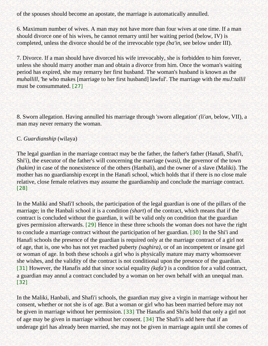of the spouses should become an apostate, the marriage is automatically annulled.

6. Maximum number of wives. A man may not have more than four wives at one time. If a man should divorce one of his wives, he cannot remarry until her waiting period (below, IV) is completed, unless the divorce should be of the irrevocable type *(ba'in,* see below under III).

7. Divorce. If a man should have divorced his wife irrevocably, she is forbidden to him forever, unless she should marry another man and obtain a divorce from him. Once the woman's waiting period has expired, she may remarry her first husband. The woman's husband is known as the *muhallill,* 'he who makes [marriage to her first husband] lawful'. The marriage with the *muJ:tallil*  must be consummated. [\[27\]](#page-19-2)

<span id="page-8-0"></span>8. Sworn allegation. Having annulled his marriage through 'sworn allegation' *(li'an,* below, VII), a man may never remarry the woman.

### C. *Guardianship* (wilaya)

The legal guardian in the marriage contract may be the father, the father's father (Hanafi, Shafi'i, Shi'i), the executor of the father's will concerning the marriage (w*asi),* the governor of the town *(hakim)* in case of the nonexistence of the others (Hanbali), and the owner of a slave (Maliki). The mother has no guardianship except in the Hanafi school, which holds that if there is no close male relative, close female relatives may assume the guardianship and conclude the marriage contract. [\[28\]](#page-19-3)

<span id="page-8-3"></span><span id="page-8-2"></span><span id="page-8-1"></span>In the Maliki and Shafi'I schools, the participation of the legal guardian is one of the pillars of the marriage; in the Hanbali school it is a condition *(shart*) of the contract, which means that if the contract is concluded without the guardian, it will be valid only on condition that the guardian gives permission afterwards. [\[29\]](#page-19-4) Hence in these three schools the woman does not have the right to conclude a marriage contract without the participation of her guardian. [\[30\]](#page-19-5) In the Shi'i and Hanafi schools the presence of the guardian is required only at the marriage contract of a girl not of age, that is, one who has not yet reached puberty *(saghira),* or of an incompetent or insane girl or woman of age. In both these schools a girl who is physically mature may marry whomsoever she wishes, and the validity of the contract is not conditional upon the presence of the guardian. [\[31\]](#page-19-6) However, the Hanafis add that since social equality *(kafa')* is a condition for a valid contract, a guardian may annul a contract concluded by a woman on her own behalf with an unequal man. [\[32\]](#page-19-7)

<span id="page-8-7"></span><span id="page-8-6"></span><span id="page-8-5"></span><span id="page-8-4"></span>In the Maliki, Hanbali, and Shafi'i schools, the guardian may give a virgin in marriage without her consent, whether or not she is of age. But a woman or girl who has been married before may not be given in marriage without her permission. [\[33\]](#page-19-8) The Hanafis and Shi'is hold that only a girl not of age may be given in marriage without her consent. [\[34\]](#page-19-9) The Shafi'is add here that if an underage girl has already been married, she may not be given in marriage again until she comes of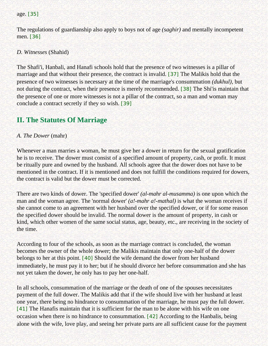<span id="page-9-0"></span>age. [\[35\]](#page-19-10)

The regulations of guardianship also apply to boys not of age *(saghir)* and mentally incompetent men. [\[36\]](#page-19-11)

<span id="page-9-1"></span>*D. Witnesses* (Shahid)

<span id="page-9-2"></span>The Shafi'i, Hanbali, and Hanafi schools hold that the presence of two witnesses is a pillar of marriage and that without their presence, the contract is invalid. [\[37\]](#page-19-12) The Malikis hold that the presence of two witnesses is necessary at the time of the marriage's consummation *(dukhul),* but not during the contract, when their presence is merely recommended. [\[38\]](#page-19-13) The Shi'is maintain that the presence of one or more witnesses is not a pillar of the contract, so a man and woman may conclude a contract secretly if they so wish. [\[39\]](#page-19-14)

## <span id="page-9-4"></span><span id="page-9-3"></span>**II. The Statutes Of Marriage**

### *A. The Dower* (mahr)

Whenever a man marries a woman, he must give her a dower in return for the sexual gratification he is to receive. The dower must consist of a specified amount of property, cash, or profit. It must be ritually pure and owned by the husband. All schools agree that the dower does not have to be mentioned in the contract. If it is mentioned and does not fulfill the conditions required for dowers, the contract is valid but the dower must be corrected.

There are two kinds of dower. The 'specified dower' *(al-mahr al-musamma)* is one upon which the man and the woman agree. The 'normal dower' *(a!-mahr a!-mathal)* is what the woman receives if she cannot come to an agreement with her husband over the specified dower, or if for some reason the specified dower should be invalid. The normal dower is the amount of property, in cash or kind, which other women of the same social status, age, beauty, etc., are receiving in the society of the time.

<span id="page-9-5"></span>According to four of the schools, as soon as the marriage contract is concluded, the woman becomes the owner of the whole dower; the Malikis maintain that only one-half of the dower belongs to her at this point. [\[40\]](#page-19-15) Should the wife demand the dower from her husband immediately, he must pay it to her; but if he should divorce her before consummation and she has not yet taken the dower, he only has to pay her one-half.

<span id="page-9-7"></span><span id="page-9-6"></span>In all schools, consummation of the marriage or the death of one of the spouses necessitates payment of the full dower. The Malikis add that if the wife should live with her husband at least one year, there being no hindrance to consummation of the marriage, he must pay the full dower. [\[41\]](#page-19-16) The Hanafis maintain that it is sufficient for the man to be alone with his wife on one occasion when there is no hindrance to consummation. [\[42\]](#page-19-17) According to the Hanbalis, being alone with the wife, love play, and seeing her private parts are all sufficient cause for the payment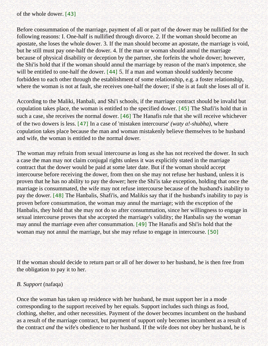<span id="page-10-0"></span>of the whole dower. [\[43\]](#page-20-0)

Before consummation of the marriage, payment of all or part of the dower may be nullified for the following reasons: I. One-half is nullified through divorce. 2. If the woman should become an apostate, she loses the whole dower. 3. If the man should become an apostate, the marriage is void, but he still must pay one-half the dower. 4. If the man or woman should annul the marriage because of physical disability or deception by the partner, she forfeits the whole dower; however, the Shi'is hold that if the woman should annul the marriage by reason of the man's impotence, she will be entitled to one-half the dower. [\[44\]](#page-20-1) 5. If a man and woman should suddenly become forbidden to each other through the establishment of some relationship, e.g. a foster relationship, where the woman is not at fault, she receives one-half the dower; if she is at fault she loses all of it.

<span id="page-10-3"></span><span id="page-10-2"></span><span id="page-10-1"></span>According to the Maliki, Hanbali, and Shi'i schools, if the marriage contract should be invalid but copulation takes place, the woman is entitled to the specified dower. [\[45\]](#page-20-2) The Shafi'is hold that in such a case, she receives the normal dower. [\[46\]](#page-20-3) The Hanafis rule that she will receive whichever of the two dowers is less. [\[47\]](#page-20-4) In a case of 'mistaken intercourse' *(waty a!-shubha),* where copulation takes place because the man and woman mistakenly believe themselves to be husband and wife, the woman is entitled to the normal dower.

<span id="page-10-5"></span><span id="page-10-4"></span>The woman may refrain from sexual intercourse as long as she has not received the dower. In such a case the man may not claim conjugal rights unless it was explicitly stated in the marriage contract that the dower would be paid at some later date. But if the woman should accept intercourse before receiving the dower, from then on she may not refuse her husband, unless it is proven that he has no ability to pay the dower; here the Shi'is take exception, holding that once the marriage is consummated, the wife may not refuse intercourse because of the husband's inability to pay the dower. [\[48\]](#page-20-5) The Hanbalis, Shafi'is, and Malikis say that if the husband's inability to pay is proven before consummation, the woman may annul the marriage; with the exception of the Hanbalis, they hold that she may not do so after consummation, since her willingness to engage in sexual intercourse proves that she accepted the marriage's validity; the Hanbalis say the woman may annul the marriage even after consummation. [\[49\]](#page-20-6) The Hanafis and Shi'is hold that the woman may not annul the marriage, but she may refuse to engage in intercourse. [\[50\]](#page-20-7)

<span id="page-10-7"></span><span id="page-10-6"></span>If the woman should decide to return part or all of her dower to her husband, he is then free from the obligation to pay it to her.

### *B. Support* (nafaqa)

Once the woman has taken up residence with her husband, he must support her in a mode corresponding to the support received by her equals. Support includes such things as food, clothing, shelter, and other necessities. Payment of the dower becomes incumbent on the husband as a result of the marriage contract, but payment of support only becomes incumbent as a result of the contract *and* the wife's obedience to her husband. If the wife does not obey her husband, he is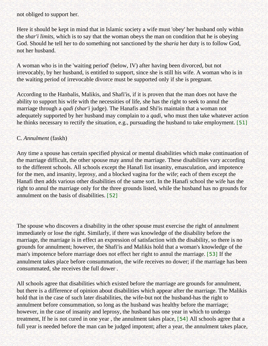not obliged to support her.

Here it should be kept in mind that in Islamic society a wife must 'obey' her husband only within the *shar'i limits,* which is to say that the woman obeys the man on condition that he is obeying God. Should he tell her to do something not sanctioned by the *sharia* her duty is to follow God, not her husband.

A woman who is in the 'waiting period' (below, IV) after having been divorced, but not irrevocably, by her husband, is entitled to support, since she is still his wife. A woman who is in the waiting period of irrevocable divorce must be supported only if she is pregnant.

According to the Hanbalis, Malikis, and Shafi'is, if it is proven that the man does not have the ability to support his wife with the necessities of life, she has the right to seek to annul the marriage through a *qadi (shar'i* judge). The Hanafis and Shi'is maintain that a woman not adequately supported by her husband may complain to a *qadi,* who must then take whatever action he thinks necessary to rectify the situation, e.g., pursuading the husband to take employment. [\[51\]](#page-20-8)

### <span id="page-11-0"></span>C. *Annulment* (faskh)

Any time a spouse has certain specified physical or mental disabilities which make continuation of the marriage difficult, the other spouse may annul the marriage. These disabilities vary according to the different schools. All schools except the Hanafi list insanity, emasculation, and impotence for the men, and insanity, leprosy, and a blocked vagina for the wife; each of them except the Hanafi then adds various other disabilities of the same sort. In the Hanafi school the wife has the right to annul the marriage only for the three grounds listed, while the husband has no grounds for annulment on the basis of disabilities. [\[52\]](#page-20-9)

<span id="page-11-1"></span>The spouse who discovers a disability in the other spouse must exercise the right of annulment immediately or lose the right. Similarly, if there was knowledge of the disability before the marriage, the marriage is in effect an expression of satisfaction with the disability, so there is no grounds for annulment; however, the Shafi'is and Malikis hold that a woman's knowledge of the man's impotence before marriage does not effect her right to annul the marriage. [\[53\]](#page-20-10) If the annulment takes place before consummation, the wife receives no dower; if the marriage has been consummated, she receives the full dower .

<span id="page-11-3"></span><span id="page-11-2"></span>All schools agree that disabilities which existed before the marriage are grounds for annulment, but there is a difference of opinion about disabilities which appear after the marriage. The Malikis hold that in the case of such later disabilities, the wife-but not the husband-has the right to annulment before consummation, so long as the husband was healthy before the marriage; however, in the case of insanity and leprosy, the husband has one year in which to undergo treatment, If he is not cured in one year , the annulment takes place, [\[54\]](#page-20-11) All schools agree that a full year is needed before the man can be judged impotent; after a year, the annulment takes place,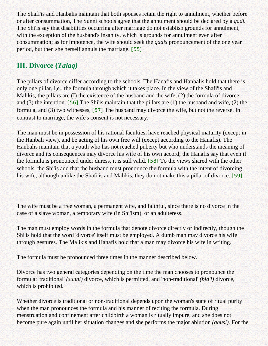The Shafi'is and Hanbalis maintain that both spouses retain the right to annulment, whether before or after consummation, The Sunni schools agree that the annulment should be declared by a *qadi.*  The Shi'is say that disabilities occurring after marriage do not establish grounds for annulment, with the exception of the husband's insanity, which is grounds for annulment even after consummation; as for impotence, the wife should seek the *qadis* pronouncement of the one year period, but then she herself annuls the marriage. [\[55\]](#page-20-12)

## <span id="page-12-0"></span>**III. Divorce (***Talaq)*

The pillars of divorce differ according to the schools. The Hanafis and Hanbalis hold that there is only one pillar, i,e., the formula through which it takes place. In the view of the Shafi'is and Malikis, the pillars are (I) the existence of the husband and the wife, (2) the formula of divorce, and (3) the intention. [\[56\]](#page-20-13) The Shi'is maintain that the pillars are (1) the husband and wife, (2) the formula, and (3) two witnesses, [\[57\]](#page-20-14) The husband may divorce the wife, but not the reverse. In contrast to marriage, the wife's consent is not necessary.

<span id="page-12-3"></span><span id="page-12-2"></span><span id="page-12-1"></span>The man must be in possession of his rational faculties, have reached physical maturity (except in the Hanbali view), and be acting of his own free will (except according to the Hanafis). The Hanbalis maintain that a youth who has not reached puberty but who understands the meaning of divorce and its consequences may divorce his wife of his own accord; the Hanafis say that even if the formula is pronounced under duress, it is still valid. [\[58\]](#page-20-15) To the views shared with the other schools, the Shi'is add that the husband must pronounce the formula with the intent of divorcing his wife, although unlike the Shafi'is and Malikis, they do not make this a pillar of divorce. [\[59\]](#page-20-16)

<span id="page-12-4"></span>The wife must be a free woman, a permanent wife, and faithful, since there is no divorce in the case of a slave woman, a temporary wife (in Shi'ism), or an adulteress.

The man must employ words in the formula that denote divorce directly or indirectly, though the Shi'is hold that the word 'divorce' itself must be employed. A dumb man may divorce his wife through gestures. The Malikis and Hanafis hold that a man may divorce his wife in writing.

The formula must be pronounced three times in the manner described below.

Divorce has two general categories depending on the time the man chooses to pronounce the formula: 'traditional' *(sunni)* divorce, which is permitted, and 'non-traditional' *(bid'i)* divorce, which is prohibited.

Whether divorce is traditional or non-traditional depends upon the woman's state of ritual purity when the man pronounces the formula and his manner of reciting the formula. During menstruation and confinement after childbirth a woman is ritually impure, and she does not become pure again until her situation changes and she performs the major ablution *(ghusl).* For the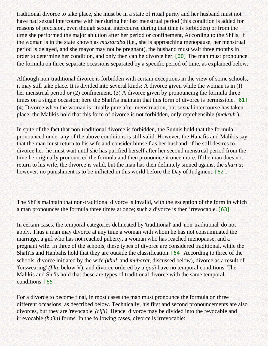traditional divorce to take place, she must be in a state of ritual purity and her husband must not have had sexual intercourse with her during her last menstrual period (this condition is added for reasons of precision, even though sexual intercourse during that time is forbidden) or from the time she performed the major ablution after her period or confinement, According to the Shi'is, if the woman is in the state known as *mustaraba* (i,e., she is approaching menopause, her menstrual period is delayed, and she mayor may not be pregnant), the husband must wait three months in order to determine her condition, and only then can he divorce her. [\[60\]](#page-20-17) The man must pronounce the formula on three separate occasions separated by a specific period of time, as explained below.

<span id="page-13-0"></span>Although non-traditional divorce is forbidden with certain exceptions in the view of some schools, it may still take place. It is divided into several kinds: A divorce given while the woman is in (I) her menstrual period or (2) confinement, (3) A divorce given by pronouncing the formula three times on a single occasion; here the Shafi'is maintain that this form of divorce is permissible. [\[61\]](#page-20-18) (4) Divorce when the woman is ritually pure after menstruation, but sexual intercourse has taken place; the Malikis hold that this form of divorce is not forbidden, only reprehensible *(makruh* ).

<span id="page-13-1"></span>In spite of the fact that non-traditional divorce is forbidden, the Sunnis hold that the formula pronounced under any of the above conditions is still valid. However, the Hanafis and Malikis say that the man must return to his wife and consider himself as her husband; if he still desires to divorce her, he must wait until she has purified herself after her second menstrual period from the time he originally pronounced the formula and then pronounce it once more. If the man does not return to his wife, the divorce is valid, but the man has then definitely sinned against the *shari'a;*  however, no punishment is to be inflicted in this world before the Day of Judgment, [\[62\]](#page-20-19).

<span id="page-13-2"></span>The Shi'is maintain that non-traditional divorce is invalid, with the exception of the form in which a man pronounces the formula three times at once; such a divorce is then irrevocable. [\[63\]](#page-20-20)

<span id="page-13-4"></span><span id="page-13-3"></span>In certain cases, the temporal categories delineated by 'traditional' and 'non-traditional' do not apply. Thus a man may divorce at any time a woman with whom he has not consummated the marriage, a girl who has not reached puberty, a woman who has reached menopause, and a pregnant wife. In three of the schools, these types of divorce are considered traditional, while the Shafi'is and Hanbalis hold that they are outside the classification. [\[64\]](#page-21-0) According to three of the schools, divorce initiated by the wife *(khul'* and *mubarat,* discussed below), divorce as a result of 'forswearing' *(I'la,* below V), and divorce ordered by a *qadi* have no temporal conditions. The Malikis and Shi'is hold that these are types of traditional divorce with the same temporal conditions. [\[65\]](#page-21-1)

<span id="page-13-5"></span>For a divorce to become final, in most cases the man must pronounce the formula on three different occasions, as described below. Technically, his first and second pronouncements are also divorces, but they are 'revocable' *(rij'i)*. Hence, divorce may be divided into the revocable and irrevocable *(ba'in)* forms. In the following cases, divorce is irrevocable: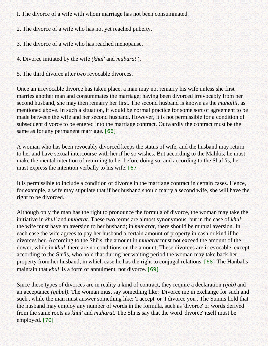I. The divorce of a wife with whom marriage has not been consummated.

2. The divorce of a wife who has not yet reached puberty.

3. The divorce of a wife who has reached menopause.

4. Divorce initiated by the wife *(khul'* and *mubarat* ).

5. The third divorce after two revocable divorces.

Once an irrevocable divorce has taken place, a man may not remarry his wife unless she first marries another man and consummates the marriage; having been divorced irrevocably from her second husband, she may then remarry her first. The second husband is known as the *muhallil,* as mentioned above. In such a situation, it would be normal practice for some sort of agreement to be made between the wife and her second husband. However, it is not permissible for a condition of subsequent divorce to be entered into the marriage contract. Outwardly the contract must be the same as for any permanent marriage. [\[66\]](#page-21-2)

<span id="page-14-0"></span>A woman who has been revocably divorced keeps the status of wife, and the husband may return to her and have sexual intercourse with her if he so wishes. But according to the Malikis, he must make the mental intention of returning to her before doing so; and according to the Shafi'is, he must express the intention verbally to his wife. [\[67\]](#page-21-3)

<span id="page-14-1"></span>It is permissible to include a condition of divorce in the marriage contract in certain cases. Hence, for example, a wife may stipulate that if her husband should marry a second wife, she will have the right to be divorced.

Although only the man has the right to pronounce the formula of divorce, the woman may take the initiative in *khul'* and *mubarat.* These two terms are almost synonymous, but in the case of *khul',*  the wife must have an aversion to her husband; in *muharat,* there should be mutual aversion. In each case the wife agrees to pay her husband a certain amount of property in cash or kind if he divorces her. According to the Shi'is, the amount in *muharat* must not exceed the amount of the dower, while in *khul'* there are no conditions on the amount, These divorces are irrevocable, except according to the Shi'is, who hold that during her waiting period the woman may take back her property from her husband, in which case he has the right to conjugal relations. [\[68\]](#page-21-4) The Hanbalis maintain that *khul'* is a form of annulment, not divorce. [\[69\]](#page-21-5)

<span id="page-14-4"></span><span id="page-14-3"></span><span id="page-14-2"></span>Since these types of divorces are in reality a kind of contract, they require a declaration *(ijab)* and an acceptance *(qabul).* The woman must say something like: 'Divorce me in exchange for such and such', while the man must answer something like: 'I accept' or 'I divorce you'. The Sunnis hold that the husband may employ any number of words in the formula, such as 'divorce' or words derived from the same roots as *khul'* and *muharat.* The Shi'is say that the word 'divorce' itself must be employed. [\[70\]](#page-21-6)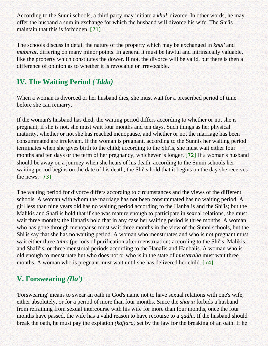According to the Sunni schools, a third party may initiate a *khul'* divorce. In other words, he may offer the husband a sum in exchange for which the husband will divorce his wife. The Shi'is maintain that this is forbidden. [\[71\]](#page-21-7)

<span id="page-15-0"></span>The schools discuss in detail the nature of the property which may be exchanged in *khul'* and *mubarat*, differing on many minor points. In general it must be lawful and intrinsically valuable, like the property which constitutes the dower. If not, the divorce will be valid, but there is then a difference of opinion as to whether it is revocable or irrevocable.

# **IV. The Waiting Period** *('Idda)*

When a woman is divorced or her husband dies, she must wait for a prescribed period of time before she can remarry.

If the woman's husband has died, the waiting period differs according to whether or not she is pregnant; if she is not, she must wait four months and ten days. Such things as her physical maturity, whether or not she has reached menopause, and whether or not the marriage has been consummated are irrelevant. If the woman is pregnant, according to the Sunnis her waiting period terminates when she gives birth to the child; according to the Shi'is, she must wait either four months and ten days or the term of her pregnancy, whichever is longer. [\[72\]](#page-21-8) If a woman's husband should be away on a journey when she hears of his death, according to the Sunni schools her waiting period begins on the date of his death; the Shi'is hold that it begins on the day she receives the news. [\[73\]](#page-21-9)

<span id="page-15-2"></span><span id="page-15-1"></span>The waiting period for divorce differs according to circumstances and the views of the different schools. A woman with whom the marriage has not been consummated has no waiting period. A girl less than nine years old has no waiting period according to the Hanbalis and the Shi'is; but the Malikis and Shafi'is hold that if she was mature enough to participate in sexual relations, she must wait three months; the Hanafis hold that in any case her waiting period is three months. A woman who has gone through menopause must wait three months in the view of the Sunni schools, but the Shi'is say that she has no waiting period. A woman who menstruates and who is not pregnant must wait either three *tuhrs* (periods of purification after menstruation) according to the Shi'is, Malikis, and Shafi'is, or three menstrual periods according to the Hanafis and Hanbalis. A woman who is old enough to menstruate but who does not or who is in the state of *mustaraha* must wait three months. A woman who is pregnant must wait until she has delivered her child. [\[74\]](#page-21-10)

## <span id="page-15-3"></span>**V. Forswearing** *(Ila')*

'Forswearing' means to swear an oath in God's name not to have sexual relations with one's wife, either absolutely, or for a period of more than four months. Since the *sharia* forbids a husband from refraining from sexual intercourse with his wife for more than four months, once the four months have passed, the wife has a valid reason to have recourse to a *qadhi.* If the husband should break the oath, he must pay the expiation *(kaffara)* set by the law for the breaking of an oath. If he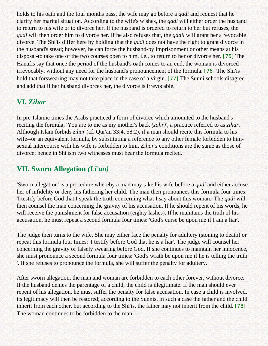holds to his oath and the four months pass, the wife may go before a *qadi* and request that he clarify her marital situation. According to the wife's wishes, the *qadi* will either order the husband to return to his wife or to divorce her. If the husband is ordered to return to her but refuses, the *qadi* will then order him to divorce her. If he also refuses that, the *qadil* will grant her a revocable divorce. The Shi'is differ here by holding that the *qadi* does not have the right to grant divorce in the husband's stead; however, he can force the husband-by imprisonment or other means at his disposal-to take one of the two courses open to him, i.e., to return to her or divorce her. [\[75\]](#page-21-11) The Hanafis say that once the period of the husband's oath comes to an end, the woman is divorced irrevocably, without any need for the husband's pronouncement of the formula. [\[76\]](#page-21-12) The Shi'is hold that forswearing may not take place in the case of a virgin. [\[77\]](#page-21-13) The Sunni schools disagree and add that if her husband divorces her, the divorce is irrevocable.

# <span id="page-16-2"></span><span id="page-16-1"></span><span id="page-16-0"></span>**VI.** *Zihar*

In pre-Islamic times the Arabs practiced a form of divorce which amounted to the husband's reciting the formula, 'You are to me as my mother's back *(zahr)',* a practice referred to as *zihar.*  Although Islam forbids *zihar* (cf. Qur'an 33:4, 58:2), if a man should recite this formula to his wife--or an equivalent formula, by substituting a reference to any other female forbidden to himsexual intercourse with his wife is forbidden to him. Z*ihar's* conditions are the same as those of divorce; hence in Shi'ism two witnesses must hear the formula recited.

## **VII. Sworn Allegation** *(Li'an)*

'Sworn allegation' is a procedure whereby a man may take his wife before a *qadi* and either accuse her of infidelity or deny his fathering her child. The man then pronounces this formula four times: 'I testify before God that I speak the truth concerning what I say about this woman.' The *qadi* will then counsel the man concerning the gravity of his accusation. If he should repent of his words, he will receive the punishment for false accusation (eighty lashes). If he maintains the truth of his accusation, he must repeat a second formula four times: 'God's curse be upon me if I am a liar'.

The judge then turns to the wife. She may either face the penalty for adultery (stoning to death) or repeat this formula four times: 'I testify before God that he is a liar'. The judge will counsel her concerning the gravity of falsely swearing before God. If she continues to maintain her innocence, she must pronounce a second formula four times: 'God's wrath be upon me if he is telling the truth '. If she refuses to pronounce the formula, she will suffer the penalty for adultery.

<span id="page-16-3"></span>After sworn allegation, the man and woman are forbidden to each other forever, without divorce. If the husband denies the parentage of a child, the child is illegitimate. If the man should ever repent of his allegation, he must suffer the penalty for false accusation. In case a child is involved, its legitimacy will then be restored; according to the Sunnis, in such a case the father and the child inherit from each other, but according to the Shi'is, the father may not inherit from the child. [\[78\]](#page-21-14) The woman continues to be forbidden to the man.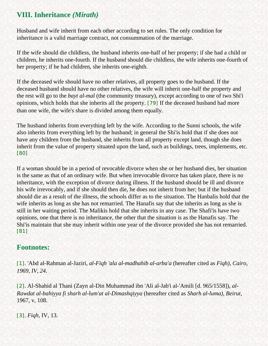# **VIII. Inheritance** *(Mirath)*

Husband and wife inherit from each other according to set rules. The only condition for inheritance is a valid marriage contract, not consummation of the marriage.

If the wife should die childless, the husband inherits one-half of her property; if she had a child or children, he inherits one-fourth. If the husband should die childless, the wife inherits one-fourth of her property; if he had children, she inherits one-eighth.

If the deceased wife should have no other relatives, all property goes to the husband. If the deceased husband should have no other relatives, the wife will inherit one-half the property and the rest will go to the *bayt al-mal* (the community treasury), except according to one of two Shi'i opinions, which holds that she inherits all the property. [\[79\]](#page-21-15) If the deceased husband had more than one wife, the wife's share is divided among them equally.

<span id="page-17-4"></span>The husband inherits from everything left by the wife. According to the Sunni schools, the wife also inherits from everything left by the husband; in general the Shi'is hold that if she does not have any children from the husband, she inherits from all property except land, though she does inherit from the value of property situated upon the land, such as buildings, trees, implements, etc. [\[80\]](#page-21-16)

<span id="page-17-5"></span>If a woman should be in a period of revocable divorce when she or her husband dies, her situation is the same as that of an ordinary wife. But when irrevocable divorce has taken place, there is no inheritance, with the exception of divorce during illness. If the husband should be ill and divorce his wife irrevocably, and if she should then die, he does not inherit from her; but if the husband should die as a result of the illness, the schools differ as to the situation. The Hanbalis hold that the wife inherits as long as she has not remarried. The Hanafis say that she inherits as long as she is still in her waiting period. The Malikis hold that she inherits in any case. The Shafi'is have two opinions, one that there is no inheritance, the other that the situation is as the Hanafis say. The Shi'is maintain that she may inherit within one year of the divorce provided she has not remarried. [\[81\]](#page-21-17)

## <span id="page-17-6"></span><span id="page-17-0"></span>**Footnotes:**

[\[1\]](#page-4-2). 'Abd al-Rahman al-Jaziri, *al-Fiqh 'ala al-madhahib al-arba'a* (hereafter cited as *Fiqh), Cairo, 1969, IV, 24.*

<span id="page-17-1"></span>[\[2\]](#page-4-3). Al-Shahid al Thani (Zayn al-Din Muhammad ibn 'Ali al-Jab'i al-'Amili [d. 965/1558]), *al-Rawdat al-bahiyya fi sharh al-lum'at al-Dimashqiyya* (hereafter cited as *Sharh al-luma), Beirut,*  1967, v, 108.

<span id="page-17-3"></span><span id="page-17-2"></span>[\[3\]](#page-5-0). *Fiqh,* IV, 13.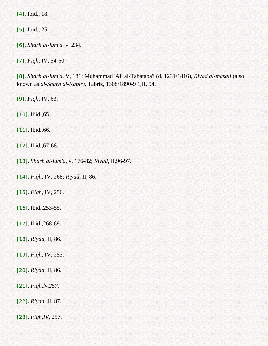[\[4\]](#page-5-1). Ibid., 18.

<span id="page-18-0"></span>[\[5\]](#page-5-2). Ibid., 25.

<span id="page-18-1"></span>[\[6\]](#page-5-3). *Sharh al-lum'a.* v. 234.

<span id="page-18-2"></span>[\[7\]](#page-5-4). *Fiqh,* IV, 54-60.

<span id="page-18-3"></span>[\[8\]](#page-6-0). *Sharh al-lum'a,* V, 181; Muhammad 'Ali al-Tabataba'i (d. 1231/1816), *Riyad al-masail* (also known as *al-Sharh al-Kabir),* Tabriz, 1308/1890-9 1,II, 94.

<span id="page-18-4"></span>[\[9\]](#page-6-1). *Fiqh,* IV, 63.

<span id="page-18-5"></span>[\[10\]](#page-6-2). Ibid.,65.

<span id="page-18-6"></span>[\[11\]](#page-6-3). Ibid.,66.

<span id="page-18-7"></span>[\[12\]](#page-6-4). Ibid., 67-68.

<span id="page-18-8"></span>[\[13\]](#page-6-5). *Sharh al-lum'a,* v, 176-82; *Riyad,* II,96-97.

<span id="page-18-9"></span>[\[14\]](#page-6-6). *Fiqh,* IV, 268; *Riyad,* II, 86.

<span id="page-18-10"></span>[\[15\]](#page-6-7). *Fiqh,* IV, 256.

<span id="page-18-11"></span>[\[16\]](#page-6-8). Ibid., 253-55.

<span id="page-18-12"></span>[\[17\]](#page-7-0). Ibid., 268-69.

<span id="page-18-13"></span>[\[18\]](#page-7-1). *Riyad,* II, 86.

<span id="page-18-14"></span>[\[19\]](#page-7-2). *Fiqh,* IV, 253.

<span id="page-18-15"></span>[\[20\]](#page-7-3). *Riyad,* II, 86.

<span id="page-18-16"></span>[\[21\]](#page-7-4). *Fiqh,lv,257.* 

<span id="page-18-17"></span>[\[22\]](#page-7-5). *Riyad,* II, 87.

<span id="page-18-19"></span><span id="page-18-18"></span>[\[23\]](#page-7-6). *Fiqh,IV,* 257.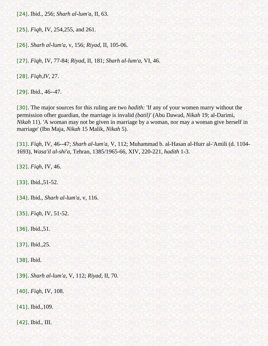[\[24\]](#page-7-7). Ibid., 256; *Sharh al-lum'a,* II, 63.

<span id="page-19-0"></span>[\[25\]](#page-7-8). *Fiqh,* IV, 254,255, and 261.

<span id="page-19-1"></span>[\[26\]](#page-7-9). *Sharh al-lum'a,* v, 156; *Riyad,* II, 105-06.

<span id="page-19-2"></span>[\[27\]](#page-8-0). *Fiqh,* IV, 77-84; *Riyad,* II, 181; *Sharh al-lum'a,* VI, 46.

<span id="page-19-3"></span>[\[28\]](#page-8-1). *Fiqh,IV,* 27.

<span id="page-19-4"></span>[\[29\]](#page-8-2). Ibid., 46--47.

<span id="page-19-5"></span>[\[30\]](#page-8-3). The major sources for this ruling are two *hadith:* 'If any of your women marry without the permission ofher guardian, the marriage is invalid *(batil)'* (Abu Dawud, *Nikah* 19; al-Darimi, *Nikah* 11). 'A woman may not be given in marriage by a woman, nor may a woman give herself in marriage' (Ibn Maja, *Nikah* 15 Malik, *Nikah* 5).

<span id="page-19-6"></span>[\[31\]](#page-8-4). *Fiqh,* IV, 46--47; *Sharh al-lum'a,* V, 112; Muhammad b. al-Hasan al-Hurr al-'Amili (d. 1104- 1693), *Wasa'il al-shi'a,* Tehran, 1385/1965-66, XIV, 220-221, *hadith* 1-3.

<span id="page-19-7"></span>[\[32\]](#page-8-5). *Fiqh,* IV, 46.

<span id="page-19-8"></span>[\[33\]](#page-8-6). Ibid., 51-52.

<span id="page-19-9"></span>[\[34\]](#page-8-7). Ibid., *Sharh al-lum'a,* v, 116.

<span id="page-19-10"></span>[\[35\]](#page-9-0). *Fiqh,* IV, 51-52.

<span id="page-19-11"></span>[\[36\]](#page-9-1). Ibid.,51.

<span id="page-19-12"></span>[\[37\]](#page-9-2). Ibid.,25.

<span id="page-19-13"></span>[\[38\]](#page-9-3). Ibid.

<span id="page-19-14"></span>[\[39\]](#page-9-4). *Sharh al-lum'a,* V, 112; *Riyad,* II, 70.

<span id="page-19-15"></span>[\[40\]](#page-9-5). *Fiqh,* IV, 108.

<span id="page-19-16"></span>[\[41\]](#page-9-6). Ibid., 109.

<span id="page-19-17"></span>[\[42\]](#page-9-7). Ibid., III.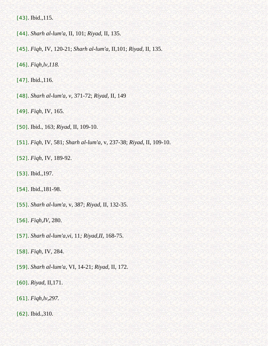<span id="page-20-0"></span>[\[43\]](#page-10-0). Ibid., 115.

- <span id="page-20-1"></span>[\[44\]](#page-10-1). *Sharh al-lum'a,* II, 101; *Riyad,* II, 135.
- <span id="page-20-2"></span>[\[45\]](#page-10-2). *Fiqh,* IV, 120-21; *Sharh al-lum'a,* II,101; *Riyad,* II, 135.
- <span id="page-20-3"></span>[\[46\]](#page-10-3). *Fiqh,lv,118.*
- <span id="page-20-4"></span>[\[47\]](#page-10-4). Ibid.,116.
- <span id="page-20-5"></span>[\[48\]](#page-10-5). *Sharh al-lum'a, v,* 371-72; *Riyad,* II, 149
- <span id="page-20-6"></span>[\[49\]](#page-10-6). *Fiqh,* IV, 165.
- <span id="page-20-7"></span>[\[50\]](#page-10-7). Ibid., 163; *Riyad,* II, 109-10.
- <span id="page-20-8"></span>[\[51\]](#page-11-0). *Fiqh,* IV, 581; *Sharh al-lum'a,* v, 237-38; *Riyad,* II, 109-10.
- <span id="page-20-9"></span>[\[52\]](#page-11-1). *Fiqh,* IV, 189-92.
- <span id="page-20-10"></span>[\[53\]](#page-11-2). Ibid.,197.
- <span id="page-20-11"></span>[\[54\]](#page-11-3). Ibid.,181-98.
- <span id="page-20-12"></span>[\[55\]](#page-12-0). *Sharh al-lum'a,* v, 387; *Riyad,* II, 132-35.
- <span id="page-20-13"></span>[\[56\]](#page-12-1). *Fiqh,IV,* 280.
- <span id="page-20-14"></span>[\[57\]](#page-12-2). *Sharh al-lum'a,vi,* 11*; Riyad,II,* 168-75.
- <span id="page-20-15"></span>[\[58\]](#page-12-3). *Fiqh,* IV, 284.
- <span id="page-20-16"></span>[\[59\]](#page-12-4). *Sharh al-lum'a,* VI, 14-21; *Riyad,* II, 172.
- <span id="page-20-17"></span>[\[60\]](#page-13-0). *Riyad,* II,171.
- <span id="page-20-18"></span>[\[61\]](#page-13-1). *Fiqh,lv,297.*
- <span id="page-20-20"></span><span id="page-20-19"></span>[\[62\]](#page-13-2). Ibid.,310.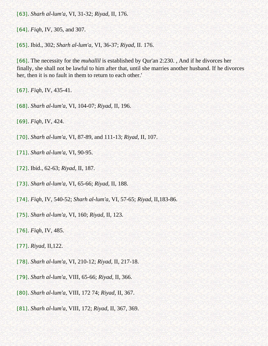[\[63\]](#page-13-3). *Sharh al-lum'a,* VI, 31-32; *Riyad,* II, 176.

<span id="page-21-0"></span>[\[64\]](#page-13-4). *Fiqh,* IV, 305, and 307.

<span id="page-21-1"></span>[\[65\]](#page-13-5). Ibid., 302; *Sharh al-lum'a,* VI, 36-37; *Riyad,* II. 176.

<span id="page-21-2"></span>[\[66\]](#page-14-0). The necessity for the *muhallil* is established by Qur'an 2:230. , And if he divorces her finally, she shall not be lawful to him after that, until she marries another husband. If he divorces her, then it is no fault in them to return to each other.'

<span id="page-21-3"></span>[\[67\]](#page-14-1). *Fiqh,* IV, 435-41.

<span id="page-21-4"></span>[\[68\]](#page-14-2). *Sharh al-lum'a,* VI, 104-07; *Riyad,* II, 196.

<span id="page-21-5"></span>[\[69\]](#page-14-3). *Fiqh,* IV, 424.

<span id="page-21-6"></span>[\[70\]](#page-14-4). *Sharh al-lum'a,* VI, 87-89, and 111-13; *Riyad,* II, 107.

- <span id="page-21-7"></span>[\[71\]](#page-15-0). *Sharh al-lum'a,* VI, 90-95.
- <span id="page-21-8"></span>[\[72\]](#page-15-1). Ibid., 62-63; *Riyad,* II, 187.

<span id="page-21-9"></span>[\[73\]](#page-15-2). *Sharh al-lum'a,* VI, 65-66; *Riyad,* II, 188.

<span id="page-21-10"></span>[\[74\]](#page-15-3). *Fiqh,* IV, 540-52; *Sharh al-lum'a,* VI, 57-65; *Riyad,* II,183-86.

<span id="page-21-11"></span>[\[75\]](#page-16-0). *Sharh al-lum'a,* VI, 160; *Riyad,* II, 123.

<span id="page-21-12"></span>[\[76\]](#page-16-1). *Fiqh,* IV, 485.

<span id="page-21-13"></span>[\[77\]](#page-16-2). *Riyad,* II,122.

<span id="page-21-14"></span>[\[78\]](#page-16-3). *Sharh al-lum'a,* VI, 210-12; *Riyad,* II, 217-18.

- <span id="page-21-15"></span>[\[79\]](#page-17-4). *Sharh al-lum'a,* VIII, 65-66; *Riyad,* II, 366.
- <span id="page-21-16"></span>[\[80\]](#page-17-5). *Sharh al-lum'a,* VIII, 172 74; *Riyad,* II, 367.
- <span id="page-21-17"></span>[\[81\]](#page-17-6). *Sharh al-lum'a,* VIII, 172; *Riyad,* II, 367, 369.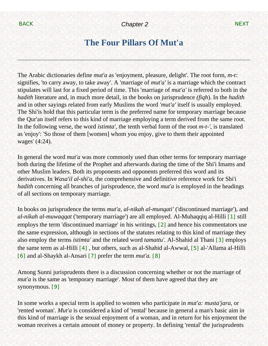# **The Four Pillars Of Mut'a**

<span id="page-22-1"></span><span id="page-22-0"></span>The Arabic dictionaries define *mut'a* as 'enjoyment, pleasure, delight'. The root form, *m-t:*  signifies, 'to carry away, to take away'. A 'marriage of *mut'a'* is a marriage which the contract stipulates will last for a fixed period of time. This 'marriage of *mut'a'* is referred to both in the *hadith* literature and, in much more detail, in the books on jurisprudence *(fiqh*). In the *hadith*  and in other sayings related from early Muslims the word *'mut'a'* itself is usually employed. The Shi'is hold that this particular term is the preferred name for temporary marriage because the Qur'an itself refers to this kind of marriage employing a term derived from the same root. In the following verse, the word *istimta',* the tenth verbal form of the root *m-t-',* is translated as 'enjoy': 'So those of them [women] whom you enjoy, give to them their appointed wages' (4:24).

In general the word *mut'a* was more commonly used than other terms for temporary marriage both during the lifetime of the Prophet and afterwards during the time of the Shi'i Imams and other Muslim leaders. Both its proponents and opponents preferred this word and its derivatives. In *Wasa'il al-shi'a,* the comprehensive and definitive reference work for Shi'i *hadith* concerning all branches of jurisprudence, the word *mut'a* is employed in the headings of all sections on temporary marriage.

<span id="page-22-2"></span>In books on jurisprudence the terms *mut'a, al-nikah al-munqati'* ('discontinued marriage'), and *al-nikah al-muwaqqat* ('temporary marriage') are all employed. Al-Muhaqqiq al-Hilli [\[1\]](#page-31-0) still employs the term 'discontinued marriage' in his writings, [\[2\]](#page-32-0) and hence his commentators use the same expression, although in sections of the statutes relating to this kind of marriage they also employ the terms *istimta'* and the related word *tamattu'.* Al-Shahid al Thani [\[3\]](#page-32-1) employs the same term as al-Hilli [\[4\]](#page-32-2) , but others, such as al-Shahid al-Awwal, [\[5\]](#page-32-3) al-'Allama al-Hilli [\[6\]](#page-32-4) and al-Shaykh al-Ansari [\[7\]](#page-32-5) prefer the term *mut'a.* [\[8\]](#page-32-6)

<span id="page-22-6"></span><span id="page-22-5"></span><span id="page-22-4"></span><span id="page-22-3"></span>Among Sunni jurisprudents there is a discussion concerning whether or not the marriage of *mut'a* is the same as 'temporary marriage'. Most of them have agreed that they are synonymous. [\[9\]](#page-32-7)

<span id="page-22-7"></span>In some works a special term is applied to women who participate in *mut'a: musta'jara,* or 'rented woman'. *Mut'a* is considered a kind of 'rental' because in general a man's basic aim in this kind of marriage is the sexual enjoyment of a woman, and in return for his enjoyment the woman receives a certain amount of money or property. In defining 'rental' the jurisprudents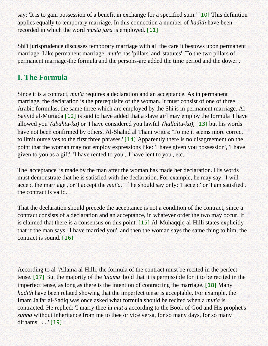<span id="page-23-0"></span>say: 'It is to gain possession of a benefit in exchange for a specified sum.' [\[10\]](#page-32-8) This definition applies equally to temporary marriage. In this connection a number of *hadith* have been recorded in which the word *musta'jara* is employed. [\[11\]](#page-32-9)

<span id="page-23-1"></span>Shi'i jurisprudence discusses temporary marriage with all the care it bestows upon permanent marriage. Like permanent marriage, *mut'a* has 'pillars' and 'statutes'. To the two pillars of permanent marriage-the formula and the persons-are added the time period and the dower .

# **I. The Formula**

<span id="page-23-3"></span><span id="page-23-2"></span>Since it is a contract, *mut'a* requires a declaration and an acceptance. As in permanent marriage, the declaration is the prerequisite of the woman. It must consist of one of three Arabic formulas, the same three which are employed by the Shi'is in permanent marriage. Al-Sayyid al-Murtada [\[12\]](#page-32-10) is said to have added that a slave girl may employ the formula 'I have allowed you' *(abahtu-ka)* or 'I have considered you lawful' *(hallaltu-ka),* [\[13\]](#page-32-11) but his words have not been confirmed by others. Al-Shahid al Thani writes: 'To me it seems more correct to limit ourselves to the first three phrases.' [\[14\]](#page-32-12) Apparently there is no disagreement on the point that the woman may not employ expressions like: 'I have given you possession', 'I have given to you as a gift', 'I have rented to you', 'I have lent to you', etc.

<span id="page-23-4"></span>The 'acceptance' is made by the man after the woman has made her declaration. His words must demonstrate that he is satisfied with the declaration. For example, he may say: 'I will accept the marriage', or 'I accept the *mut'a.'* If he should say only: 'I accept' or 'I am satisfied', the contract is valid.

<span id="page-23-5"></span>That the declaration should precede the acceptance is not a condition of the contract, since a contract consists of a declaration and an acceptance, in whatever order the two may occur. It is claimed that there is a consensus on this point. [\[15\]](#page-32-13) Al-Muhaqqiq al-Hilli states explicitly that if the man says: 'I have married you', and then the woman says the same thing to him, the contract is sound. [\[16\]](#page-32-14)

<span id="page-23-9"></span><span id="page-23-8"></span><span id="page-23-7"></span><span id="page-23-6"></span>According to al-'Allama al-Hilli, the formula of the contract must be recited in the perfect tense. [\[17\]](#page-33-0) But the majority of the *'ulama'* hold that it is permissible for it to be recited in the imperfect tense, as long as there is the intention of contracting the marriage. [\[18\]](#page-33-1) Many *hadith* have been related showing that the imperfect tense is acceptable. For example, the Imam Ja'far al-Sadiq was once asked what formula should be recited when a *mut'a* is contracted. He replied: 'I marry thee in *mut'a* according to the Book of God and His prophet's *sunna* without inheritance from me to thee or vice versa, for so many days, for so many dirhams. .....' [\[19\]](#page-33-2)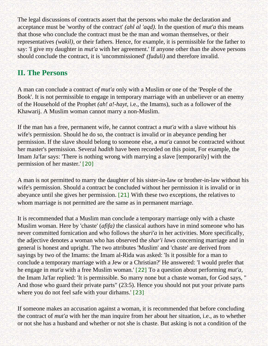The legal discussions of contracts assert that the persons who make the declaration and acceptance must be 'worthy of the contract' *(ahl al 'aqd).* In the question of *mut'a* this means that those who conclude the contract must be the man and woman themselves, or their representatives *(wakil),* or their fathers. Hence, for example, it is permissible for the father to say: 'I give my daughter in *mut'a* with her agreement.' If anyone other than the above persons should conclude the contract, it is 'uncommissioned' *(fuduli)* and therefore invalid.

# **II. The Persons**

A man can conclude a contract *of mut'a* only with a Muslim or one of the 'People of the Book'. It is not permissible to engage in temporary marriage with an unbeliever or an enemy of the Household of the Prophet *(ah! a!-hayt,* i.e., the Imams), such as a follower of the Khawarij. A Muslim woman cannot marry a non-Muslim.

If the man has a free, permanent wife, he cannot contract a *mut'a* with a slave without his wife's permission. Should he do so, the contract is invalid or in abeyance pending her permission. If the slave should belong to someone else, a *mut'a* cannot be contracted without her master's permission. Several *hadith* have been recorded on this point, For example, the Imam Ja'far says: 'There is nothing wrong with marrying a slave [temporarily] with the permission of her master.' [\[20\]](#page-33-3)

<span id="page-24-0"></span>A man is not permitted to marry the daughter of his sister-in-Iaw or brother-in-law without his wife's permission. Should a contract be concluded without her permission it is invalid or in abeyance until she gives her permission. [\[21\]](#page-33-4) With these two exceptions, the relatives to whom marriage is not permitted are the same as in permanent marriage.

<span id="page-24-1"></span>It is recommended that a Muslim man conclude a temporary marriage only with a chaste Muslim woman. Here by 'chaste' (*afifa)* the classical authors have in mind someone who has never committed fornication and who follows the *shari'a* in her activities. More specifically, the adjective denotes a woman who has observed the *shar'i laws* concerning marriage and in general is honest and upright. The two attributes 'Muslim' and 'chaste' are derived from sayings by two of the Imams: the Imam al-Rida was asked: 'Is it possible for a man to conclude a temporary marriage with a Jew or a Christian?' He answered: 'I would prefer that he engage in *mut'a* with a free Muslim woman.' [\[22\]](#page-33-5) To a question about performing *mut'a,*  the Imam Ja'far replied: 'It is permissible. So marry none but a chaste woman, for God says, " And those who guard their private parts" (23:5). Hence you should not put your private parts where you do not feel safe with your dirhams.' [\[23\]](#page-33-6)

<span id="page-24-3"></span><span id="page-24-2"></span>If someone makes an accusation against a woman, it is recommended that before concluding the contract of *mut'a* with her the man inquire from her about her situation, i.e., as to whether or not she has a husband and whether or not she is chaste. But asking is not a condition of the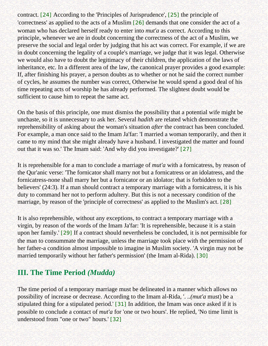<span id="page-25-1"></span><span id="page-25-0"></span>contract. [\[24\]](#page-33-7) According to the 'Principles of Jurisprudence', [\[25\]](#page-33-8) the principle of 'correctness' as applied to the acts of a Muslim [\[26\]](#page-33-9) demands that one consider the act of a woman who has declared herself ready to enter into *mut'a* as correct. According to this principle, whenever we are in doubt concerning the correctness of the act of a Muslim, we preserve the social and legal order by judging that his act was correct. For example, if we are in doubt concerning the legality of a couple's marriage, we judge that it was legal. Otherwise we would also have to doubt the legitimacy of their children, the application of the laws of inheritance, etc. In a different area of the law, the canonical prayer provides a good example: If, after finishing his prayer, a person doubts as to whether or not he said the correct number of cycles, he assumes the number was correct, Otherwise he would spend a good deal of his time repeating acts of worship he has already performed. The slightest doubt would be sufficient to cause him to repeat the same act.

On the basis of this principle, one must dismiss the possibility that a potential wife might be unchaste, so it is unnecessary to ask her. Several *hadith* are related which demonstrate the reprehensibility of asking about the woman's situation *after* the contract has been concluded. For example, a man once said to the Imam Ja'far: 'I married a woman temporarily, and then it came to my mind that she might already have a husband. I investigated the matter and found out that it was so.' The Imam said: 'And why did you investigate?' [\[27\]](#page-33-10)

<span id="page-25-2"></span>It is reprehensible for a man to conclude a marriage of *mut'a* with a fornicatress, by reason of the Qur'anic verse: 'The fornicator shall marry not but a fornicatress or an idolatress, and the fornicatress-none shall marry her but a fornicator or an idolator; that is forbidden to the believers' (24:3). If a man should contract a temporary marriage with a fornicatress, it is his duty to command her not to perform adultery. But this is not a necessary condition of the marriage, by reason of the 'principle of correctness' as applied to the Muslim's act. [\[28\]](#page-33-11)

<span id="page-25-4"></span><span id="page-25-3"></span>It is also reprehensible, without any exceptions, to contract a temporary marriage with a virgin, by reason of the words of the Imam Ja'far: 'It is reprehensible, because it is a stain upon her family.' [\[29\]](#page-33-12) If a contract should nevertheless be concluded, it is not permissible for the man to consummate the marriage, unless the marriage took place with the permission of her father-a condition almost impossible to imagine in Muslim society. 'A virgin may not be married temporarily without her father's permission' (the Imam al-Rida). [\[30\]](#page-33-13)

## <span id="page-25-5"></span>**III. The Time Period** *(Mudda)*

<span id="page-25-7"></span><span id="page-25-6"></span>The time period of a temporary marriage must be delineated in a manner which allows no possibility of increase or decrease. According to the Imam al-Rida, '. *..(mut'a* must) be a stipulated thing for a stipulated period.' [\[31\]](#page-33-14) In addition, the Imam was once asked if it is possible to conclude a contact of *mut'a* for 'one or two hours'. He replied, 'No time limit is understood from "one or two" hours.' [\[32\]](#page-33-15)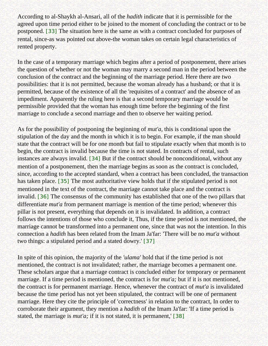<span id="page-26-0"></span>According to al-Shaykh al-Ansari, all of the *hadith* indicate that it is permissible for the agreed upon time period either to be joined to the moment of concluding the contract or to be postponed. [\[33\]](#page-33-16) The situation here is the same as with a contract concluded for purposes of rental, since-as was pointed out above-the woman takes on certain legal characteristics of rented property.

In the case of a temporary marriage which begins after a period of postponement, there arises the question of whether or not the woman may marry a second man in the period between the conclusion of the contract and the beginning of the marriage period. Here there are two possibilities: that it is not permitted, because the woman already has a husband; or that it is permitted, because of the existence of all the 'requisites of a contract' and the absence of an impediment. Apparently the ruling here is that a second temporary marriage would be permissible provided that the woman has enough time before the beginning of the first marriage to conclude a second marriage and then to observe her waiting period.

<span id="page-26-2"></span><span id="page-26-1"></span>As for the possibility of postponing the beginning of *mut'a,* this is conditional upon the stipulation of the day and the month in which it is to begin. For example, if the man should state that the contract will be for one month but fail to stipulate exactly when that month is to begin, the contract is invalid because the time is not stated. In contracts of rental, such instances are always invalid. [\[34\]](#page-33-17) But if the contract should be nonconditional, without any mention of a postponement, then the marriage begins as soon as the contract is concluded, since, according to the accepted standard, when a contract has been concluded, the transaction has taken place. [\[35\]](#page-33-18) The most authoritative view holds that if the stipulated period is not mentioned in the text of the contract, the marriage cannot take place and the contract is invalid. [\[36\]](#page-34-0) The consensus of the community has established that one of the two pillars that differentiate *mut'a* from permanent marriage is mention of the time period; whenever this pillar is not present, everything that depends on it is invalidated. In addition, a contract follows the intentions of those who conclude it, Thus, if the time period is not mentioned, the marriage cannot be transformed into a permanent one, since that was not the intention. In this connection a *hadith* has been related from the Imam Ja'far: 'There will be no *mut'a* without two things: a stipulated period and a stated dowry.' [\[37\]](#page-34-1)

<span id="page-26-5"></span><span id="page-26-4"></span><span id="page-26-3"></span>In spite of this opinion, the majority of the *'ulama'* hold that if the time period is not mentioned, the contract is not invalidated; rather, the marriage becomes a permanent one. These scholars argue that a marriage contract is concluded either for temporary or permanent marriage. If a time period is mentioned, the contract is for *mut'a;* but if it is not mentioned, the contract is for permanent marriage. Hence, whenever the contract of *mut'a* is invalidated because the time period has not yet been stipulated, the contract will be one of permanent marriage. Here they cite the principle of 'correctness' in relation to the contract, In order to corroborate their argument, they mention a *hadith* of the Imam Ja'far: 'If a time period is stated, the marriage is *mut'a;* if it is not stated, it is permanent,' [\[38\]](#page-34-2)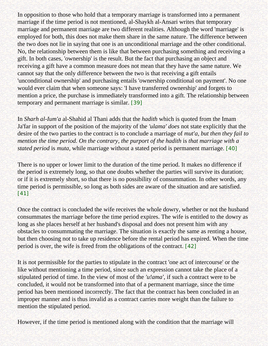In opposition to those who hold that a temporary marriage is transformed into a permanent marriage if the time period is not mentioned, al-Shaykh al-Ansari writes that temporary marriage and permanent marriage are two different realities. Although the word 'marriage' is employed for both, this does not make them share in the same nature. The difference between the two does not lie in saying that one is an unconditional marriage and the other conditional. No, the relationship between them is like that between purchasing something and receiving a gift. In both cases, 'ownership' is the result. But the fact that purchasing an object and receiving a gift have a common measure does not mean that they have the same nature. We cannot say that the only difference between the two is that receiving a gift entails 'unconditional ownership' and purchasing entails 'ownership conditional on payment'. No one would ever claim that when someone says: 'I have transferred ownership' and forgets to mention a price, the purchase is immediately transformed into a gift. The relationship between temporary and permanent marriage is similar. [\[39\]](#page-34-3)

<span id="page-27-0"></span>In *Sharh al-Ium'a* al-Shahid al Thani adds that the *hadith* which is quoted from the Imam Ja'far in support of the position of the majority of the *'ulama' does* not state explicitly that the desire of the two parties to the contract is to conclude a marriage of *mut'a, but then they fail to mention the time period. On the contrary, the purport of the hadith is that marriage with a stated period* is *muta*, while marriage without a stated period is permanent marriage. [\[40\]](#page-34-4)

<span id="page-27-1"></span>There is no upper or lower limit to the duration of the time period. It makes no difference if the period is extremely long, so that one doubts whether the parties will survive its duration; or if it is extremely short, so that there is no possibility of consummation. In other words, any time period is permissible, so long as both sides are aware of the situation and are satisfied. [\[41\]](#page-34-5)

<span id="page-27-2"></span>Once the contract is concluded the wife receives the whole dowry, whether or not the husband consummates the marriage before the time period expires. The wife is entitled to the dowry as long as she places herself at her husband's disposal and does not present him with any obstacles to consummating the marriage. The situation is exactly the same as renting a house, but then choosing not to take up residence before the rental period has expired. When the time period is over, the wife is freed from the obligations of the contract. [\[42\]](#page-34-6)

<span id="page-27-3"></span>It is not permissible for the parties to stipulate in the contract 'one act of intercourse' or the like without mentioning a time period, since such an expression cannot take the place of a stipulated period of time. In the view of most of the *'u!ama',* if such a contract were to be concluded, it would not be transformed into that of a permanent marriage, since the time period has been mentioned incorrectly. The fact that the contract has been concluded in an improper manner and is thus invalid as a contract carries more weight than the failure to mention the stipulated period.

However, if the time period is mentioned along with the condition that the marriage will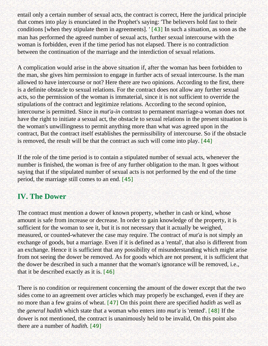<span id="page-28-0"></span>entail only a certain number of sexual acts, the contract is correct, Here the juridical principle that comes into play is enunciated in the Prophet's saying: 'The believers hold fast to their conditions [when they stipulate them in agreements]. ' [\[43\]](#page-34-7) In such a situation, as soon as the man has performed the agreed number of sexual acts, further sexual intercourse with the woman is forbidden, even if the time period has not elapsed. There is no contradiction between the continuation of the marriage and the interdiction of sexual relations.

A complication would arise in the above situation if, after the woman has been forbidden to the man, she gives him permission to engage in further acts of sexual intercourse. Is the man allowed to have intercourse or not? Here there are two opinions. According to the first, there is a definite obstacle to sexual relations. For the contract does not allow any further sexual acts, so the permission of the woman is immaterial, since it is not sufficient to override the stipulations of the contract and legitimize relations. According to the second opinion, intercourse is permitted. Since in *mut'a-in* contrast to permanent marriage-a woman does not have the right to initiate a sexual act, the obstacle to sexual relations in the present situation is the woman's unwillingness to permit anything more than what was agreed upon in the contract, But the contract itself establishes the permissibility of intercourse. So if the obstacle is removed, the result will be that the contract as such will come into play. [\[44\]](#page-34-8)

<span id="page-28-1"></span>If the role of the time period is to contain a stipulated number of sexual acts, whenever the number is finished, the woman is free of any further obligation to the man. It goes without saying that if the stipulated number of sexual acts is not performed by the end of the time period, the marriage still comes to an end. [\[45\]](#page-34-9)

## <span id="page-28-2"></span>**IV. The Dower**

The contract must mention a dower of known property, whether in cash or kind, whose amount is safe from increase or decrease. In order to gain knowledge of the property, it is sufficient for the woman to see it, but it is not necessary that it actually be weighed, measured, or counted-whatever the case may require. The contract of *mut'a* is not simply an exchange of goods, but a marriage. Even if it is defined as a 'rental', that also is different from an exchange. Hence it is sufficient that any possibility of misunderstanding which might arise from not seeing the dower be removed. As for goods which are not present, it is sufficient that the dower be described in such a manner that the woman's ignorance will be removed, i.e., that it be described exactly as it is. [\[46\]](#page-34-10)

<span id="page-28-6"></span><span id="page-28-5"></span><span id="page-28-4"></span><span id="page-28-3"></span>There is no condition or requirement concerning the amount of the dower except that the two sides come to an agreement over articles which may properly be exchanged, even if they are no more than a few grains of wheat. [\[47\]](#page-34-11) On this point there are specified *hadith* as well as the *general hadith* which state that a woman who enters into *mut'a* is 'rented'. [\[48\]](#page-34-12) If the dower is not mentioned, the contract is unanimously held to be invalid, On this point also there are a number of *hadith.* [\[49\]](#page-34-13)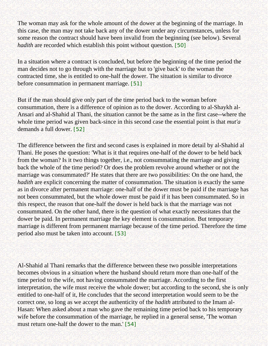The woman may ask for the whole amount of the dower at the beginning of the marriage. In this case, the man may not take back any of the dower under any circumstances, unless for some reason the contract should have been invalid from the beginning (see below). Several *hadith* are recorded which establish this point without question. [\[50\]](#page-34-14)

<span id="page-29-0"></span>In a situation where a contract is concluded, but before the beginning of the time period the man decides not to go through with the marriage but to 'give back' to the woman the contracted time, she is entitled to one-half the dower. The situation is similar to divorce before consummation in permanent marriage. [\[51\]](#page-34-15)

<span id="page-29-1"></span>But if the man should give only part of the time period back to the woman before consummation, there is a difference of opinion as to the dower. According to al-Shaykh al-Ansari and al-Shahid al Thani, the situation cannot be the same as in the first case--where the whole time period was given back-since in this second case the essential point is that *mut'a*  demands a full dower. [\[52\]](#page-34-16)

<span id="page-29-2"></span>The difference between the first and second cases is explained in more detail by al-Shahid al Thani. He poses the question: 'What is it that requires one-half of the dower to be held back from the woman? Is it two things together, i.e., not consummating the marriage and giving back the whole of the time period? Or does the problem revolve around whether or not the marriage was consummated?' He states that there are two possibilities: On the one hand, the *hadith* are explicit concerning the matter of consummation. The situation is exactly the same as in divorce after permanent marriage: one-half of the dower must be paid if the marriage has not been consummated, but the whole dower must be paid if it has been consummated. So in this respect, the reason that one-half the dower is held back is that the marriage was not consummated. On the other hand, there is the question of what exactly necessitates that the dower be paid. In permanent marriage the key element is consummation. But temporary marriage is different from permanent marriage because of the time period. Therefore the time period also must be taken into account. [\[53\]](#page-34-17)

<span id="page-29-4"></span><span id="page-29-3"></span>Al-Shahid al Thani remarks that the difference between these two possible interpretations becomes obvious in a situation where the husband should return more than one-half of the time period to the wife, not having consummated the marriage. According to the first interpretation, the wife must receive the whole dower; but according to the second, she is only entitled to one-half of it, He concludes that the second interpretation would seem to be the correct one, so long as we accept the authenticity of the *hadith* attributed to the Imam al-Hasan: When asked about a man who gave the remaining time period back to his temporary wife before the consummation of the marriage, he replied in a general sense, 'The woman must return one-half the dower to the man.' [\[54\]](#page-34-18)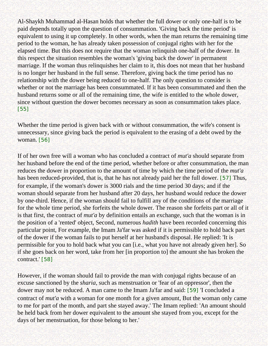Al-Shaykh Muhammad al-Hasan holds that whether the full dower or only one-half is to be paid depends totally upon the question of consummation. 'Giving back the time period' is equivalent to using it up completely. In other words, when the man returns the remaining time period to the woman, he has already taken possession of conjugal rights with her for the elapsed time. But this does not require that the woman relinquish one-half of the dower. In this respect the situation resembles the woman's 'giving back the dower' in permanent marriage. If the woman thus relinquishes her claim to it, this does not mean that her husband is no longer her husband in the full sense. Therefore, giving back the time period has no relationship with the dower being reduced to one-half. The only question to consider is whether or not the marriage has been consummated. If it has been consummated and then the husband returns some or all of the remaining time, the wife is entitled to the whole dower, since without question the dower becomes necessary as soon as consummation takes place. [\[55\]](#page-35-0)

<span id="page-30-0"></span>Whether the time period is given back with or without consummation, the wife's consent is unnecessary, since giving back the period is equivalent to the erasing of a debt owed by the woman. [\[56\]](#page-35-1)

<span id="page-30-2"></span><span id="page-30-1"></span>If of her own free will a woman who has concluded a contract of *mut'a* should separate from her husband before the end of the time period, whether before or after consummation, the man reduces the dower in proportion to the amount of time by which the time period of the *mut'a*  has been reduced-provided, that is, that he has not already paid her the full dower. [\[57\]](#page-35-2) Thus, for example, if the woman's dower is 3000 rials and the time period 30 days; and if the woman should separate from her husband after 20 days, her husband would reduce the dower by one-third. Hence, if the woman should fail to fulfill any of the conditions of the marriage for the whole time period, she forfeits the whole dower. The reason she forfeits part or all of it is that first, the contract of *mut'a* by definition entails an exchange, such that the woman is in the position of a 'rented' object, Second, numerous *hadith* have been recorded concerning this particular point, For example, the Imam Ja'far was asked if it is permissible to hold back part of the dower if the woman fails to put herself at her husband's disposal. He replied: 'It is permissible for you to hold back what you can [i.e., what you have not already given her]. So if she goes back on her word, take from her [in proportion to] the amount she has broken the contract.' [\[58\]](#page-35-3)

<span id="page-30-4"></span><span id="page-30-3"></span>However, if the woman should fail to provide the man with conjugal rights because of an excuse sanctioned by the *sharia,* such as menstruation or 'fear of an oppressor', then the dower may not be reduced. A man came to the Imam Ja'far and said: [\[59\]](#page-35-4) 'I concluded a contract of *mut'a* with a woman for one month for a given amount, But the woman only came to me for part of the month, and part she stayed away.' The Imam replied: 'An amount should be held back from her dower equivalent to the amount she stayed from you, except for the days of her menstruation, for those belong to her.'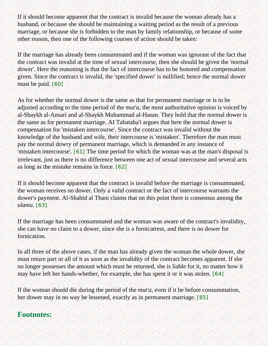If it should become apparent that the contract is invalid because the woman already has a husband, or because she should be maintaining a waiting period as the result of a previous marriage, or because she is forbidden to the man by family relationship, or because of some other reason, then one of the following courses of action should be taken:

If the marriage has already been consummated and if the woman was ignorant of the fact that the contract was invalid at the time of sexual intercourse, then she should be given the 'normal dower'. Here the reasoning is that the fact of intercourse has to be honored and compensation given. Since the contract is invalid, the 'specified dower' is nullified; hence the normal dower must be paid. [\[60\]](#page-35-5)

<span id="page-31-1"></span>As for whether the normal dower is the same as that for permanent marriage or is to be adjusted according to the time period of the *mut'a,* the most authoritative opinion is voiced by al-Shaykh al-Ansari and al-Shaykh Muhammad al-Hasan. They hold that the normal dower is the same as for permanent marriage. AI Tabataba'i argues that here the normal dower is compensation for 'mistaken intercourse'. Since the contract was invalid without the knowledge of the husband and wife, their intercourse is 'mistaken'. Therefore the man must pay the normal dowry of permanent marriage, which is demanded in any instance of 'mistaken intercourse'. [\[61\]](#page-35-6) The time period for which the woman was at the man's disposal is irrelevant, just as there is no difference between one act of sexual intercourse and several acts as long as the mistake remains in force. [\[62\]](#page-35-7)

<span id="page-31-3"></span><span id="page-31-2"></span>If it should become apparent that the contract is invalid before the marriage is consummated, the woman receives no dower. Only a valid contract or the fact of intercourse warrants the dower's payment. Al-Shahid al Thani claims that on this point there is consensus among the *ulama.* [\[63\]](#page-35-8)

<span id="page-31-4"></span>If the marriage has been consummated and the woman was aware of the contract's invalidity, she can have no claim to a dower, since she is a fornicatress, and there is no dower for fornication.

In all three of the above cases, if the man has already given the woman the whole dower, she must return part or all of it as soon as the invalidity of the contract becomes apparent. If she no longer possesses the amount which must be returned, she is liable for it, no matter how it may have left her hands-whether, for example, she has spent it or it was stolen. [\[64\]](#page-35-9)

<span id="page-31-5"></span>If the woman should die during the period of the *mut'a,* even if it be before consummation, her dower may in no way be lessened, exactly as in permanent marriage. [\[65\]](#page-35-10)

## <span id="page-31-6"></span><span id="page-31-0"></span>**Footnotes:**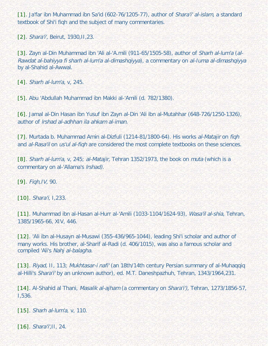<span id="page-32-0"></span>[\[1\]](#page-22-2). Ja'far ibn Muhammad ibn Sa'id (602-76/1205-77), author of Shara'i' al-islam, a standard textbook of Shi'i fiqh and the subject of many commentaries.

<span id="page-32-1"></span>[\[2\]](#page-22-3). Shara'i', Beirut, 1930, II, 23.

[\[3\]](#page-22-4). Zayn al-Din Muhammad ibn 'Ali al-'A.mili (911-65/1505-58), author of Sharh al-lum'a (al-Rawdat al-bahiyya fi sharh al-lum'a al-dimashqiyya), a commentary on al-Iuma al-dimashqiyya by al-Shahid al-Awwal.

<span id="page-32-3"></span><span id="page-32-2"></span>[\[4\]](#page-22-5). Sharh al-lum'a, v, 245.

<span id="page-32-4"></span>[\[5\]](#page-22-5). Abu 'Abdullah Muhammad ibn Makki al-'Amili (d. 782/1380).

[\[6\]](#page-22-5). Jamal al-Din Hasan ibn Yusuf ibn Zayn al-Din 'Ali ibn al-Mutahhar (648-726/1250-1326), author of lrshad al-adhhan ila ahkam al-iman.

<span id="page-32-6"></span><span id="page-32-5"></span>[\[7\]](#page-22-6). Murtada b. Muhammad Amin al-Dizfuli (1214-81/1800-64). His works al-Matajir on figh and al-Rasa'il on us'ul al-figh are considered the most complete textbooks on these sciences.

<span id="page-32-7"></span>[\[8\]](#page-22-6). Sharh al-lum'a, v, 245; al-Matajir, Tehran 1352/1973, the book on muta (which is a commentary on al-'Allama's lrshad).

[\[9\]](#page-22-7). Fiqh,IV, 90.

<span id="page-32-8"></span>[\[10\]](#page-23-0). Shara'i, I,233.

<span id="page-32-9"></span>[\[11\]](#page-23-1). Muhammad ibn al-Hasan al-Hurr al-'Amili (1033-1104/1624-93), Wasa'il al-shia, Tehran, 1385/1965-66, XIV, 446.

<span id="page-32-10"></span>[\[12\]](#page-23-2). 'Ali ibn al-Husayn al-Musawi (355-436/965-1044), leading Shi'i scholar and author of many works. His brother, al-Sharif al-Radi (d. 406/1015), was also a famous scholar and compiled 'Ali's Nahj al-balagha.

<span id="page-32-11"></span>[\[13\]](#page-23-3). Riyad, II, 113; Mukhtasar-i nafi' (an 18th/14th century Persian summary of al-Muhaqqiq al-Hilli's Shara'i' by an unknown author), ed. M.T. Daneshpazhuh, Tehran, 1343/1964,231.

<span id="page-32-12"></span>[\[14\]](#page-23-4). Al-Shahid al Thani, Masalik al-ajham (a commentary on Shara'i'), Tehran, 1273/1856-57, I,536.

<span id="page-32-13"></span>[\[15\]](#page-23-5). Sharh al-lum'a, v, 110.

<span id="page-32-14"></span>[\[16\]](#page-23-6). *Shara'i',*II, 24.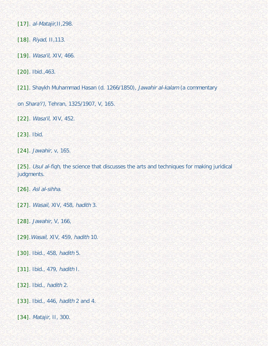<span id="page-33-0"></span>[\[17\]](#page-23-7). *al-Matajir*, 11, 298.

<span id="page-33-1"></span>[\[18\]](#page-23-8). Riyad, II,113.

<span id="page-33-2"></span>[\[19\]](#page-23-9). Wasa'il, XIV, 466.

<span id="page-33-3"></span>[\[20\]](#page-24-0). Ibid.,463.

<span id="page-33-4"></span>[\[21\]](#page-24-1). Shaykh Muhammad Hasan (d. 1266/1850), Jawahir al-kalam (a commentary

on Shara'i'), Tehran, 1325/1907, V, 165.

<span id="page-33-5"></span>[\[22\]](#page-24-2). Wasa'il, XIV, 452.

<span id="page-33-6"></span>[\[23\]](#page-24-3). Ibid.

<span id="page-33-7"></span>[\[24\]](#page-25-0). Jawahir, v, 165.

<span id="page-33-8"></span>[\[25\]](#page-25-0). Usul al-figh, the science that discusses the arts and techniques for making juridical judgments.

<span id="page-33-9"></span>[\[26\]](#page-25-1). Asl al-sihha.

<span id="page-33-10"></span>[\[27\]](#page-25-2). Wasail, XIV, 458, hadith 3.

<span id="page-33-11"></span>[\[28\]](#page-25-3). Jawahir, V, 166,

<span id="page-33-12"></span>[\[29\]](#page-25-4).Wasail, XIV, 459, hadith 10.

<span id="page-33-13"></span>[\[30\]](#page-25-5). Ibid., 458, hadith 5.

<span id="page-33-14"></span>[\[31\]](#page-25-6). Ibid., 479, hadith I.

<span id="page-33-15"></span>[\[32\]](#page-25-7). Ibid., *hadith* 2.

<span id="page-33-16"></span>[\[33\]](#page-26-0). Ibid., 446, hadith 2 and 4.

<span id="page-33-18"></span><span id="page-33-17"></span>[\[34\]](#page-26-1). Matajir, II, 300.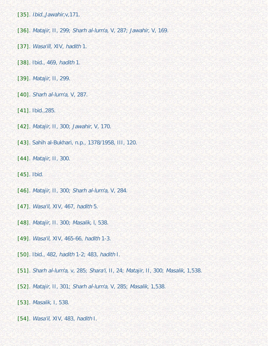[\[35\]](#page-26-2). Ibid.,Jawahir,v,171.

<span id="page-34-0"></span>[\[36\]](#page-26-3). Matajir, II, 299; Sharh al-lum'a, V, 287; Jawahir, V, 169.

- <span id="page-34-1"></span>[\[37\]](#page-26-4). Wasa'ill, XIV, hadith 1.
- <span id="page-34-2"></span>[\[38\]](#page-26-5). Ibid., 469, hadith 1.
- <span id="page-34-3"></span>[\[39\]](#page-27-0). Matajir, II, 299.
- <span id="page-34-4"></span>[\[40\]](#page-27-1). Sharh al-lum'a, V, 287.
- <span id="page-34-5"></span>[\[41\]](#page-27-2). Ibid., 285.
- <span id="page-34-6"></span>[\[42\]](#page-27-3). Matajir, II, 300; Jawahir, V, 170.
- <span id="page-34-7"></span>[\[43\]](#page-28-0). Sahih al-Bukhari, n.p., 1378/1958, III, 120.
- <span id="page-34-8"></span>[\[44\]](#page-28-1). Matajir, II, 300.
- <span id="page-34-9"></span>[\[45\]](#page-28-2). Ibid.
- <span id="page-34-10"></span>[\[46\]](#page-28-3). Matajir, II, 300; Sharh al-lum'a, V, 284.
- <span id="page-34-11"></span>[\[47\]](#page-28-4). *Wasa'il, XIV, 467, hadith 5.*
- <span id="page-34-12"></span>[\[48\]](#page-28-5). Matajir, II. 300; Masalik, l, 538.
- <span id="page-34-13"></span>[\[49\]](#page-28-6). Wasa'il, XIV, 465-66, hadith 1-3.
- <span id="page-34-14"></span>[\[50\]](#page-29-0). Ibid., 482, hadith 1-2; 483, hadith I.
- <span id="page-34-15"></span>[\[51\]](#page-29-1). Sharh al-lum'a, v, 285; Shara'i, II, 24; Matajir, II, 300; Masalik, 1,538.
- <span id="page-34-16"></span>[\[52\]](#page-29-2). Matajir, II, 301; Sharh al-lum'a, V, 285; Masalik, 1,538.
- <span id="page-34-17"></span>[\[53\]](#page-29-3). Masalik, I, 538.
- <span id="page-34-18"></span>[\[54\]](#page-29-4). *Wasa'il, XIV*, 483, hadith I.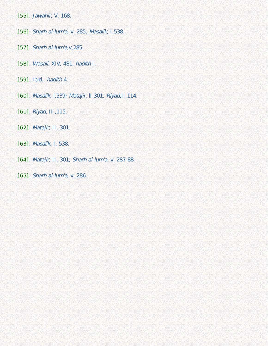- <span id="page-35-0"></span>[\[55\]](#page-30-0). Jawahir, V, 168.
- <span id="page-35-1"></span>[\[56\]](#page-30-1). Sharh al-lum'a, v, 285; Masalik, I,538.
- <span id="page-35-2"></span>[\[57\]](#page-30-2). Sharh al-lum'a, v, 285.
- <span id="page-35-3"></span>[\[58\]](#page-30-3). Wasail, XIV, 481, hadith I.
- <span id="page-35-4"></span>[\[59\]](#page-30-4). Ibid., hadith 4.
- <span id="page-35-5"></span>[\[60\]](#page-31-1). Masalik, l,539; Matajir, lI,301; Riyad,II,114.
- <span id="page-35-6"></span>[\[61\]](#page-31-2). Riyad, II ,115.
- <span id="page-35-7"></span>[\[62\]](#page-31-3). Matajir, II, 301.
- <span id="page-35-8"></span>[\[63\]](#page-31-4). Masalik, I, 538.
- <span id="page-35-9"></span>[\[64\]](#page-31-5). Matajir, II, 301; Sharh al-lum'a, v, 287-88.
- <span id="page-35-10"></span>[\[65\]](#page-31-6). Sharh al-lum'a, v, 286.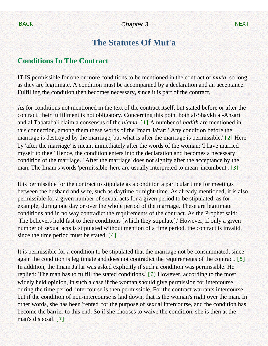# **The Statutes Of Mut'a**

## <span id="page-36-0"></span>**Conditions In The Contract**

IT IS permissible for one or more conditions to be mentioned in the contract of *mut'a,* so long as they are legitimate. A condition must be accompanied by a declaration and an acceptance. Fulfilling the condition then becomes necessary, since it is part of the contract,

<span id="page-36-1"></span>As for conditions not mentioned in the text of the contract itself, but stated before or after the contract, their fulfillment is not obligatory. Concerning this point both al-Shaykh al-Ansari and al Tabataba'i claim a consensus of the *ulama.* [\[1\]](#page-42-0) A number of *hadith* are mentioned in this connection, among them these words of the Imam Ja'far: ' Any condition before the marriage is destroyed by the marriage, but what is after the marriage is permissible.' [\[2\]](#page-42-1) Here by 'after the marriage' is meant immediately after the words of the woman: 'I have married myself to thee.' Hence, the condition enters into the declaration and becomes a necessary condition of the marriage. ' After the marriage' does not signify after the acceptance by the man. The Imam's words 'permissible' here are usually interpreted to mean 'incumbent'. [\[3\]](#page-42-2)

<span id="page-36-3"></span><span id="page-36-2"></span>It is permissible for the contract to stipulate as a condition a particular time for meetings between the husband and wife, such as daytime or night-time. As already mentioned, it is also permissible for a given number of sexual acts for a given period to be stipulated, as for example, during one day or over the whole period of the marriage. These are legitimate conditions and in no way contradict the requirements of the contract. As the Prophet said: 'The believers hold fast to their conditions [which they stipulate].' However, if only a given number of sexual acts is stipulated without mention of a time period, the contract is invalid, since the time period must be stated. [\[4\]](#page-42-3)

<span id="page-36-7"></span><span id="page-36-6"></span><span id="page-36-5"></span><span id="page-36-4"></span>It is permissible for a condition to be stipulated that the marriage not be consummated, since again the condition is legitimate and does not contradict the requirements of the contract. [\[5\]](#page-42-4) In addition, the Imam Ja'far was asked explicitly if such a condition was permissible. He replied: 'The man has to fulfill the stated conditions.' [\[6\]](#page-42-5) However, according to the most widely held opinion, in such a case if the woman should give permission for intercourse during the time period, intercourse is then permissible. For the contract warrants intercourse, but if the condition of non-intercourse is laid down, that is the woman's right over the man. In other words, she has been 'rented' for the purpose of sexual intercourse, and the condition has become the barrier to this end. So if she chooses to waive the condition, she is then at the man's disposal. [\[7\]](#page-42-6)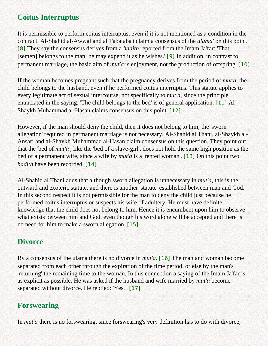# **Coitus Interruptus**

<span id="page-37-0"></span>It is permissible to perform coitus interruptus, even if it is not mentioned as a condition in the contract. Al-Shahid al-Awwal and al Tabataba'i claim a consensus of the *ulama'* on this point. [\[8\]](#page-42-7) They say the consensus derives from a *hadith* reported from the Imam Ja'far: 'That [semen] belongs to the man: he may expend it as he wishes.' [\[9\]](#page-42-8) In addition, in contrast to permanent marriage, the basic aim of *mut'a* is enjoyment, not the production of offspring. [\[10\]](#page-42-9)

<span id="page-37-2"></span><span id="page-37-1"></span>If the woman becomes pregnant such that the pregnancy derives from the period of *mut'a,* the child belongs to the husband, even if he performed coitus interruptus. This statute applies to every legitimate act of sexual intercourse, not specifically to *mut'a,* since the principle enunciated in the saying: 'The child belongs to the bed' is of general application. [\[11\]](#page-42-10) Al-Shaykh Muhammad al-Hasan claims consensus on this point. [\[12\]](#page-42-11)

<span id="page-37-4"></span><span id="page-37-3"></span>However, if the man should deny the child, then it does not belong to him; the 'sworn allegation' required in permanent marriage is not necessary. Al-Shahid al Thani, al-Shaykh al-Ansari and al-Shaykh Muhammad al-Hasan claim consensus on this question. They point out that the 'bed of *mut'a',* like the 'bed of a slave-girl', does not hold the same high position as the bed of a permanent wife, since a wife by *mut'a* is a 'rented woman'. [\[13\]](#page-42-12) On this point two *hadith* have been recorded. [\[14\]](#page-42-13)

<span id="page-37-6"></span><span id="page-37-5"></span>Al-Shahid al Thani adds that although sworn allegation is unnecessary in *mut'a,* this is the outward and exoteric statute, and there is another 'statute' established between man and God. In this second respect it is not permissible for the man to deny the child just because he performed coitus interruptus or suspects his wife of adultery. He must have definite knowledge that the child does not belong to him. Hence it is encumbent upon him to observe what exists between him and God, even though his word alone will be accepted and there is no need for him to make a sworn allegation. [\[15\]](#page-42-14)

## <span id="page-37-7"></span>**Divorce**

<span id="page-37-8"></span>By a consensus of the ulama there is no divorce in *mut'a*. [\[16\]](#page-42-15) The man and woman become separated from each other through the expiration of the time period, or else by the man's 'returning' the remaining time to the woman. In this connection a saying of the Imam Ja'far is as explicit as possible. He was asked if the husband and wife married by *mut'a* become separated without divorce. He replied: 'Yes. ' [\[17\]](#page-42-16)

## <span id="page-37-9"></span>**Forswearing**

In *mut'a* there is no forswearing, since forswearing's very definition has to do with divorce,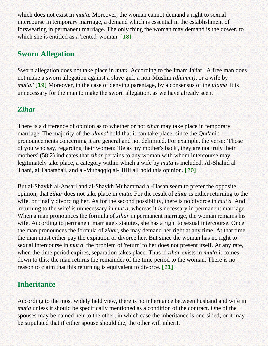which does not exist in *mut'a*. Moreover, the woman cannot demand a right to sexual intercourse in temporary marriage, a demand which is essential in the establishment of forswearing in permanent marriage. The only thing the woman may demand is the dower, to which she is entitled as a 'rented' woman. [\[18\]](#page-42-17)

## <span id="page-38-0"></span>**Sworn Allegation**

Sworn allegation does not take place in *muta.* According to the Imam Ja'far: 'A free man does not make a sworn allegation against a slave girl, a non-Muslim *(dhimmi),* or a wife by *mut'a.'* [\[19\]](#page-42-18) Moreover, in the case of denying parentage, by a consensus of the *ulama'* it is unnecessary for the man to make the sworn allegation, as we have already seen.

# <span id="page-38-1"></span>*Zihar*

There is a difference of opinion as to whether or not *zihar* may take place in temporary marriage. The majority of the *ulama'* hold that it can take place, since the Qur'anic pronouncements concerning it are general and not delimited. For example, the verse: 'Those of you who say, regarding their women: 'Be as my mother's back', they are not truly their mothers' (58:2) indicates that *zihar* pertains to any woman with whom intercourse may legitimately take place, a category within which a wife by *muta* is included. Al-Shahid al Thani, al Tabataba'i, and al-Muhaqqiq al-HiIIi all hold this opinion. [\[20\]](#page-43-0)

<span id="page-38-2"></span>But al-Shaykh al-Ansari and al-Shaykh Muhammad al-Hasan seem to prefer the opposite opinion, that *zihar* does not take place in *muta.* For the result of *zihar* is either returning to the wife, or finally divorcing her. As for the second possibility, there is no divorce in *mut'a.* And 'returning to the wife' is unnecessary in *mut'a,* whereas it *is* necessary in permanent marriage. When a man pronounces the formula of *zihar* in permanent marriage, the woman remains his wife. According to permanent marriage's statutes, she has a right to sexual intercourse. Once the man pronounces the formula of *zihar,* she may demand her right at any time. At that time the man must either pay the expiation or divorce her. But since the woman has no right to sexual intercourse in *mut'a*, the problem of 'return' to her does not present itself. At any rate, when the time period expires, separation takes place. Thus if *zihar* exists in *mut'a* it comes down to this: the man returns the remainder of the time period to the woman. There is no reason to claim that this returning is equivalent to divorce. [\[21\]](#page-43-1)

# <span id="page-38-3"></span>**Inheritance**

According to the most widely held view, there is no inheritance between husband and wife in *mut'a* unless it should be specifically mentioned as a condition of the contract. One of the spouses may be named heir to the other, in which case the inheritance is one-sided; or it may be stipulated that if either spouse should die, the other will inherit.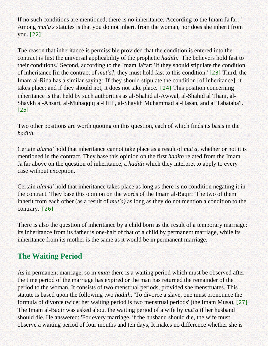If no such conditions are mentioned, there is no inheritance. According to the Imam Ja'far: ' Among *mut'a's* statutes is that you do not inherit from the woman, nor does she inherit from you. [\[22\]](#page-43-2)

<span id="page-39-1"></span><span id="page-39-0"></span>The reason that inheritance is permissible provided that the condition is entered into the contract is first the universal applicability of the prophetic *hadith:* 'The believers hold fast to their conditions.' Second, according to the Imam Ja'far: 'If they should stipulate the condition of inheritance [in the contract of *mut'a],* they must hold fast to this condition.' [\[23\]](#page-43-3) Third, the Imam al-Rida has a similar saying: 'If they should stipulate the condition [of inheritance], it takes place; and if they should not, it does not take place.' [\[24\]](#page-43-4) This position concerning inheritance is that held by such authorities as al-Shahid al-Awwal, al-Shahid al Thani, al-Shaykh al-Ansari, al-Muhaqqiq al-HiIIi, al-Shaykh Muhammad al-Hasan, and al Tabataba'i. [\[25\]](#page-43-5)

<span id="page-39-3"></span><span id="page-39-2"></span>Two other positions are worth quoting on this question, each of which finds its basis in the *hadith.*

Certain *ulama'* hold that inheritance cannot take place as a result of *mut'a,* whether or not it is mentioned in the contract. They base this opinion on the first *hadith* related from the Imam Ja'far above on the question of inheritance, a *hadith* which they interpret to apply to every case without exception.

Certain *ulama'* hold that inheritance takes place as long as there is no condition negating it in the contract. They base this opinion on the words of the Imam al-Baqir: 'The two of them inherit from each other (as a result of *mut'a)* as long as they do not mention a condition to the contrary.' [\[26\]](#page-43-6)

<span id="page-39-4"></span>There is also the question of inheritance by a child born as the result of a temporary marriage: its inheritance from its father is one-half of that of a child by permanent marriage, while its inheritance from its mother is the same as it would be in permanent marriage.

# **The Waiting Period**

<span id="page-39-5"></span>As in permanent marriage, so in *muta* there is a waiting period which must be observed after the time period of the marriage has expired or the man has returned the remainder of the period to the woman. It consists of two menstrual periods, provided she menstruates. This statute is based upon the following two *hadith:* 'To divorce a slave, one must pronounce the formula of divorce twice; her waiting period is two menstrual periods' (the Imam Musa), [\[27\]](#page-43-7) The Imam al-Baqir was asked about the waiting period of a wife by *mut'a* if her husband should die. He answered: 'For every marriage, if the husband should die, the wife must observe a waiting period of four months and ten days, It makes no difference whether she is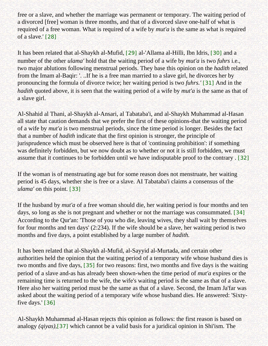free or a slave, and whether the marriage was permanent or temporary. The waiting period of a divorced [free] woman is three months, and that of a divorced slave one-half of what is required of a free woman. What is required of a wife by *mut'a* is the same as what is required of a slave.' [\[28\]](#page-43-8)

<span id="page-40-1"></span><span id="page-40-0"></span>It has been related that al-Shaykh al-Mufid, [\[29\]](#page-43-9) al-'Allama al-Hilli, Ibn Idris, [\[30\]](#page-43-10) and a number of the other *ulama'* hold that the waiting period of a wife by *mut'a* is two *fuhrs* i.e., two major ablutions following menstrual periods. They base this opinion on the *hadith* related from the Imam al-Baqir: '. ..If he is a free man married to a slave girl, he divorces her by pronouncing the formula of divorce twice; her waiting period is two *fuhrs.'* [\[31\]](#page-43-11) And in the *hadith* quoted above, it is seen that the waiting period of a wife by *mut'a* is the same as that of a slave girl.

<span id="page-40-2"></span>Al-Shahid al Thani, al-Shaykh al-Ansari, al Tabataba'i, and al-Shaykh Muhammad al-Hasan all state that caution demands that we prefer the first of these opinions-that the waiting period of a wife by *mut'a* is two menstrual periods, since the time period is longer. Besides the fact that a number of *hadith* indicate that the first opinion is stronger, the principle of jurisprudence which must be observed here is that of 'continuing prohibition': if something was definitely forbidden, but we now doubt as to whether or not it is still forbidden, we must assume that it continues to be forbidden until we have indisputable proof to the contrary . [\[32\]](#page-43-12)

<span id="page-40-3"></span>If the woman is of menstruating age but for some reason does not menstruate, her waiting period is 45 days, whether she is free or a slave. AI Tabataba'i claims a consensus of the *ulama'* on this point. [\[33\]](#page-43-13)

<span id="page-40-5"></span><span id="page-40-4"></span>If the husband by *mut'a* of a free woman should die, her waiting period is four months and ten days, so long as she is not pregnant and whether or not the marriage was consummated. [\[34\]](#page-43-14) According to the Qur'an: 'Those of you who die, leaving wives, they shall wait by themselves for four months and ten days' (2:234). If the wife should be a slave, her waiting period is two months and five days, a point established by a large number of *hadith.*

<span id="page-40-6"></span>It has been related that al-Shaykh al-Mufid, al-Sayyid al-Murtada, and certain other authorities held the opinion that the waiting period of a temporary wife whose husband dies is two months and five days, [\[35\]](#page-43-15) for two reasons: first, two months and five days is the waiting period of a slave and-as has already been shown-when the time period of *mut'a* expires or the remaining time is returned to the wife, the wife's waiting period is the same as that of a slave. Here also her waiting period must be the same as that of a slave. Second, the Imam Ja'far was asked about the waiting period of a temporary wife whose husband dies. He answered: 'Sixtyfive days.' [\[36\]](#page-43-16)

<span id="page-40-8"></span><span id="page-40-7"></span>Al-Shaykh Muhammad al-Hasan rejects this opinion as follows: the first reason is based on analogy *(qiyas),*[\[37\]](#page-43-17) which cannot be a valid basis for a juridical opinion in Shi'ism. The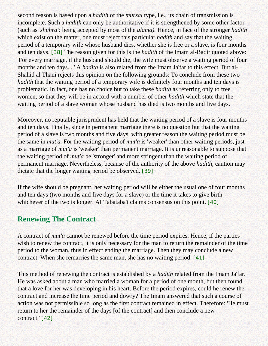<span id="page-41-0"></span>second reason is based upon a *hadith* of the *mursal* type, i.e., its chain of transmission is incomplete. Such a *hadith* can only be authoritative if it is strengthened by some other factor (such as *'shuhra':* being accepted by most of the *ulama).* Hence, in face of the stronger *hadith*  which exist on the matter, one must reject this particular *hadith* and say that the waiting period of a temporary wife whose husband dies, whether she is free or a slave, is four months and ten days. [\[38\]](#page-44-0) The reason given for this is the *hadith* of the Imam al-Baqir quoted above: 'For every marriage, if the husband should die, the wife must observe a waiting period of four months and ten days. ..' A *hadith* is also related from the Imam Ja'far to this effect. But al-Shahid al Thani rejects this opinion on the following grounds: To conclude from these two *hadith* that the waiting period of a temporary wife is definitely four months and ten days is problematic. In fact, one has no choice but to take these *hadith* as referring only to free women, so that they will be in accord with a number of other *hadith* which state that the waiting period of a slave woman whose husband has died is two months and five days.

Moreover, no reputable jurisprudent has held that the waiting period of a slave is four months and ten days. Finally, since in permanent marriage there is no question but that the waiting period of a slave is two months and five days, with greater reason the waiting period must be the same in *mut'a.* For the waiting period of *mut'a* is 'weaker' than other waiting periods, just as a marriage of *mut'a* is 'weaker' than permanent marriage. It is unreasonable to suppose that the waiting period of *mut'a* be 'stronger' and more stringent than the waiting period of permanent marriage. Nevertheless, because of the authority of the above *hadith,* caution may dictate that the longer waiting period be observed. [\[39\]](#page-44-1)

<span id="page-41-1"></span>If the wife should be pregnant, her waiting period will be either the usual one of four months and ten days (two months and five days for a slave) or the time it takes to give birth-whichever of the two is longer. AI Tabataba'i claims consensus on this point. [\[40\]](#page-44-2)

## <span id="page-41-2"></span>**Renewing The Contract**

A contract of *mut'a* cannot be renewed before the time period expires. Hence, if the parties wish to renew the contract, it is only necessary for the man to return the remainder of the time period to the woman, thus in effect ending the marriage. Then they may conclude a new contract. When she remarries the same man, she has no waiting period. [\[41\]](#page-44-3)

<span id="page-41-4"></span><span id="page-41-3"></span>This method of renewing the contract is established by a *hadith* related from the Imam Ja'far. He was asked about a man who married a woman for a period of one month, but then found that a love for her was developing in his heart. Before the period expires, could he renew the contract and increase the time period and dowry? The Imam answered that such a course of action was not permissible so long as the first contract remained in effect. Therefore: 'He must return to her the remainder of the days [of the contract] and then conclude a new contract.' [\[42\]](#page-44-4)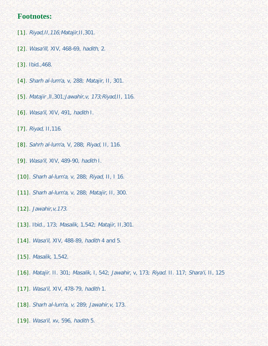## <span id="page-42-0"></span>**Footnotes:**

- <span id="page-42-1"></span>[\[1\]](#page-36-1). Riyad,II,116;Matajir,II,301.
- <span id="page-42-2"></span>[\[2\]](#page-36-2). Wasa'ill, XIV, 468-69, hadith, 2.
- <span id="page-42-3"></span>[\[3\]](#page-36-3). Ibid., 468.
- <span id="page-42-4"></span>[\[4\]](#page-36-4). Sharh al-lum'a, v, 288; Matajir, II, 301.
- <span id="page-42-5"></span>[\[5\]](#page-36-5). Matajir ,lI,301;Jawahir,v, 173;Riyad,II, 116.
- <span id="page-42-6"></span>[\[6\]](#page-36-6). Wasa'il, XIV, 491, hadith I.
- [\[7\]](#page-36-7). Riyad, II,116.
- <span id="page-42-7"></span>[\[8\]](#page-37-0). Sahrh al-lum'a, V, 288; Riyad, II, 116.
- <span id="page-42-8"></span>[\[9\]](#page-37-1). Wasa'il, XIV, 489-90, hadith I.
- <span id="page-42-9"></span>[\[10\]](#page-37-2). Sharh al-lum'a, v, 288; Riyad, II, I 16.
- <span id="page-42-10"></span>[\[11\]](#page-37-3). Sharh al-lum'a, v, 288; Matajir, II, 300.
- <span id="page-42-11"></span>[\[12\]](#page-37-4). *Jawahir, v, 173.*
- <span id="page-42-12"></span>[\[13\]](#page-37-5). Ibid., 173; Masalik, 1,542; Matajir, II,301.
- <span id="page-42-13"></span>[\[14\]](#page-37-6). Wasa'il, XIV, 488-89, hadith 4 and 5.
- <span id="page-42-14"></span>[\[15\]](#page-37-7). Masalik, 1,542.
- <span id="page-42-15"></span>[\[16\]](#page-37-8). Matajir. II. 301; Masalik, I, 542; Jawahir, v, 173; Riyad. II. 117; Shara'i, II, 125
- <span id="page-42-16"></span>[\[17\]](#page-37-9). Wasa'il, XIV, 478-79, hadith 1.
- <span id="page-42-17"></span>[\[18\]](#page-38-0). Sharh al-lum'a, v, 289; Jawahir,v, 173.
- <span id="page-42-18"></span>[\[19\]](#page-38-1). Wasa'il, xv, 596, hadith 5.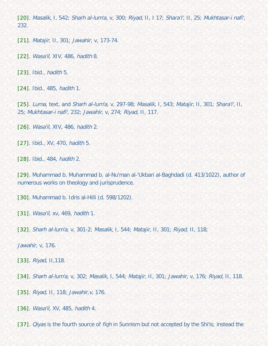<span id="page-43-0"></span>[\[20\]](#page-38-2). Masalik, I, 542; Sharh al-lum'a, v, 300; Riyad, II, I 17; Shara'i', II, 25; Mukhtasar-i nafi', 232.

<span id="page-43-1"></span>[\[21\]](#page-38-3). Matajir, II, 301; Jawahir, v, 173-74.

<span id="page-43-2"></span>[\[22\]](#page-39-0). *Wasa'il, XIV, 486, hadith 8.* 

<span id="page-43-3"></span>[\[23\]](#page-39-1). Ibid., hadith 5.

<span id="page-43-4"></span>[\[24\]](#page-39-2). Ibid., 485, hadith 1.

<span id="page-43-5"></span>[\[25\]](#page-39-3). Luma, text, and Sharh al-lum'a, v, 297-98; Masalik, I, 543; Matajir, II, 301; Shara'i', II, 25; Mukhtasar-i nafi', 232; Jawahir, v, 274; Riyad, II, 117.

<span id="page-43-6"></span>[\[26\]](#page-39-4). *Wasa'il, XIV*, 486, hadith 2.

<span id="page-43-7"></span>[\[27\]](#page-39-5). Ibid., XV, 470, hadith 5.

<span id="page-43-8"></span>[\[28\]](#page-40-0). Ibid., 484, hadith 2.

<span id="page-43-9"></span>[\[29\]](#page-40-1). Muhammad b. Muhammad b. al-Nu'man al-'Ukbari al-Baghdadi (d. 413/1022), author of numerous works on theology and jurisprudence.

<span id="page-43-10"></span>[\[30\]](#page-40-1). Muhammad b. Idris al-Hilli (d. 598/1202).

<span id="page-43-11"></span>[\[31\]](#page-40-2). Wasa'il, xv, 469, hadith 1.

<span id="page-43-12"></span>[\[32\]](#page-40-3). Sharh al-lum'a, v, 301-2; Masalik, I, 544; Matajir, II, 301; Riyad, II, 118;

Jawahir, v, 176.

<span id="page-43-13"></span>[\[33\]](#page-40-4). Riyad, II,118.

<span id="page-43-14"></span>[\[34\]](#page-40-5). Sharh al-lum'a, v, 302; Masalik, I, 544; Matajir, II, 301; Jawahir, v, 176; Riyad, II, 118.

<span id="page-43-15"></span>[\[35\]](#page-40-6). Riyad, II, 118; Jawahir,v, 176.

<span id="page-43-16"></span>[\[36\]](#page-40-7). Wasa'il, XV, 485, hadith 4.

<span id="page-43-17"></span>[\[37\]](#page-40-8). *Qiyas* is the fourth source of *fiqh* in Sunnism but not accepted by the Shi'is; instead the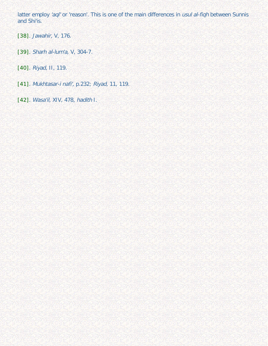latter employ 'aql' or 'reason'. This is one of the main differences in usul al-fiqh between Sunnis and Shi'is.

<span id="page-44-0"></span>[\[38\]](#page-41-0). Jawahir, V, 176.

<span id="page-44-1"></span>[\[39\]](#page-41-1). Sharh al-lum'a, V, 304-7.

<span id="page-44-2"></span>[\[40\]](#page-41-2). Riyad, II, 119.

<span id="page-44-3"></span>[\[41\]](#page-41-3). Mukhtasar-i nafi', p.232; Riyad, 11, 119.

<span id="page-44-4"></span>[\[42\]](#page-41-4). Wasa'il, XIV, 478, hadith I.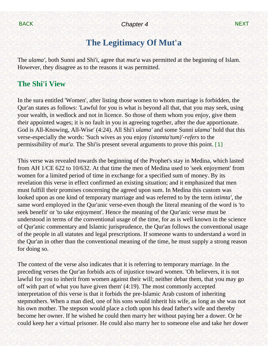# **The Legitimacy Of Mut'a**

<span id="page-45-0"></span>The *ulama',* both Sunni and Shi'i, agree that *mut'a* was permitted at the beginning of Islam. However, they disagree as to the reasons it was permitted.

# **The Shi'i View**

In the sura entitled 'Women', after listing those women to whom marriage is forbidden, the Qur'an states as follows: 'Lawful for you is what is beyond all that, that you may seek, using your wealth, in wedlock and not in licence. So those of them whom you enjoy, give them their appointed wages; it is no fault in you in agreeing together, after the due apportionate. God is All-Knowing, All-Wise' (4:24). All Shi'i *ulama'* and some Sunni *ulama'* hold that this verse-especially the words: 'Such wives as you enjoy *(istamta'tum)'-refers* to the permissibility of *mut'a.* The Shi'is present several arguments to prove this point. [\[1\]](#page-61-0)

<span id="page-45-1"></span>This verse was revealed towards the beginning of the Prophet's stay in Medina, which lasted from AH 1/CE 622 to 10/632. At that time the men of Medina used to 'seek enjoyment' from women for a limited period of time in exchange for a specified sum of money. By its revelation this verse in effect confirmed an existing situation; and it emphasized that men must fulfill their promises concerning the agreed upon sum. In Medina this custom was looked upon as one kind of temporary marriage and was referred to by the term *istimta',* the same word employed in the Qur'anic verse-even though the literal meaning of the word is 'to seek benefit' or 'to take enjoyment'. Hence the meaning of the Qur'anic verse must be understood in terms of the conventional usage of the time, for as is well known in the science of Qur'anic commentary and Islamic jurisprudence, the Qur'an follows the conventional usage of the people in all statutes and legal prescriptions. If someone wants to understand a word in the Qur'an in other than the conventional meaning of the time, he must supply a strong reason for doing so.

The context of the verse also indicates that it is referring to temporary marriage. In the preceding verses the Qur'an forbids acts of injustice toward women. 'Oh believers, it is not lawful for you to inherit from women against their will; neither debar them, that you may go off with part of what you have given them' (4:19). The most commonly accepted interpretation of this verse is that it forbids the pre-Islamic Arab custom of inheriting stepmothers. When a man died, one of his sons would inherit his wife, as long as she was not his own mother. The stepson would place a cloth upon his dead father's wife and thereby become her owner. If he wished he could then marry her without paying her a dower. Or he could keep her a virtual prisoner. He could also marry her to someone else and take her dower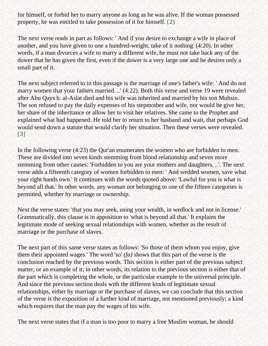for himself, or forbid her to marry anyone as long as he was alive. If the woman possessed property, he was entitled to take possession of it for himself. [\[2\]](#page-61-1)

<span id="page-46-0"></span>The next verse reads in part as follows: ' And if you desire to exchange a wife in place of another, and you have given to one a hundred-weight, take of it nothing' (4:20). In other words, if a man divorces a wife to marry a different wife, he must not take back any of the dower that he has given the first, even if the dower is a very large one and he desires only a small part of it.

The next subject referred to in this passage is the marriage of one's father's wife: ' And do not marry women that your fathers married. ..' (4:22). Both this verse and verse 19 were revealed after Abu Qays b. al-Aslat died and his wife was inherited and married by his son Muhsin. The son refused to pay the daily expenses of his stepmother and wife, nor would he give her, her share of the inheritance or allow her to visit her relatives. She came to the Prophet and explained what had happened. He told her to return to her husband and wait, that perhaps God would send down a statute that would clarify her situation. Then these verses were revealed. [\[3\]](#page-61-2)

<span id="page-46-1"></span>In the following verse (4:23) the Qur'an enumerates the women who are forbidden to men. These are divided into seven kinds stemming from blood relationship and seven more stemming from other causes: 'Forbidden to you are your mothers and daughters. ..'. The next verse adds a fifteenth category of women forbidden to men: ' And wedded women, save what your right hands own.' It continues with the words quoted above: 'Lawful for you is what is beyond all that.' In other words, any woman not belonging to one of the fifteen categories is permitted, whether by marriage or ownership.

Next the verse states: 'that you may seek, using your wealth, in wedlock and not in license.' Grammatically, this clause is in apposition to 'what is beyond all that.' It explains the legitimate mode of seeking sexual relationships with women, whether as the result of marriage or the purchase of slaves.

The next part of this same verse states as follows: 'So those of them whom you enjoy, give them their appointed wages.' The word 'so' *(fa)* shows that this part of the verse is the conclusion reached by the previous words. This section is either part of the previous subject matter, or an example of it; in other words, its relation to the previous section is either that of the part which is completing the whole, or the particular example to the universal principle. And since the previous section deals with the different kinds of legitimate sexual relationships, either by marriage or the purchase of slaves, we can conclude that this section of the verse is the exposition of a further kind of marriage, not mentioned previously; a kind which requires that the man pay the wages of his wife.

The next verse states that if a man is too poor to marry a free Muslim woman, he should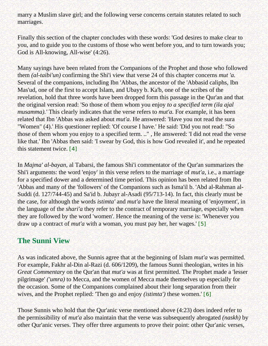marry a Muslim slave girl; and the following verse concerns certain statutes related to such marriages.

Finally this section of the chapter concludes with these words: 'God desires to make clear to you, and to guide you to the customs of those who went before you, and to turn towards you; God is All-knowing, All-wise' (4:26).

Many sayings have been related from the Companions of the Prophet and those who followed them *(al-taibi'un)* confirming the Shi'i view that verse 24 of this chapter concerns *mut 'a.*  Several of the companions, including Ibn 'Abbas, the ancestor of the 'Abbasid caliphs, Ibn Mas'ud, one of the first to accept Islam, and Ubayy b. Ka'b, one of the scribes of the revelation, hold that three words have been dropped form this passage in the Qur'an and that the original version read: 'So those of them whom you enjoy *to a specified term (ila ajal musamma*).' This clearly indicates that the verse refers to *mut'a*. For example, it has been related that Ibn 'Abbas was asked about *mut'a.* He answered: 'Have you not read the sura "Women" (4).' His questioner replied: 'Of course I have.' He said: 'Did you not read: "So those of them whom you enjoy to a specified term. .." , He answered: 'I did not read the verse like that.' Ibn 'Abbas then said: 'I swear by God, this is how God revealed it', and he repeated this statement twice. [\[4\]](#page-61-3)

<span id="page-47-0"></span>In *Majma' al-bayan,* al Tabarsi, the famous Shi'i commentator of the Qur'an summarizes the Shi'i arguments: the word 'enjoy' in this verse refers to the marriage of *mut'a,* i.e., a marriage for a specified dower and a determined time period. This opinion has been related from Ibn 'Abbas and many of the 'followers' of the Companions such as Isma'il b. 'Abd al-Rahman al-Suddi (d. 127/744-45) and Sa'id b. Jubayr al-Asadi (95/713-14). In fact, this clearly must be the case, for although the words *istimta'* and *mut'a* have the literal meaning of 'enjoyment', in the language of the *shari'a* they refer to the contract of temporary marriage, especially when they are followed by the word 'women'. Hence the meaning of the verse is: 'Whenever you draw up a contract of *mut'a* with a woman, you must pay her, her wages.' [\[5\]](#page-61-4)

## <span id="page-47-1"></span>**The Sunni View**

As was indicated above, the Sunnis agree that at the beginning of Islam *mut'a* was permitted. For example, Fakhr al-Din al-Razi (d. 606/1209), the famous Sunni theologian, writes in his *Great Commentary* on the Qur'an that *mut'a* was at first permitted. The Prophet made a 'lesser pilgrimage' *('umra)* to Mecca, and the women of Mecca made themselves up especially for the occasion. Some of the Companions complained about their long separation from their wives, and the Prophet replied: 'Then go and enjoy *(istimta')* these women.' [\[6\]](#page-62-0)

<span id="page-47-2"></span>Those Sunnis who hold that the Qur'anic verse mentioned above (4:23) does indeed refer to the permissibility of *mut'a* also maintain that the verse was subsequently abrogated *(naskh)* by other Qur'anic verses. They offer three arguments to prove their point: other Qur'anic verses,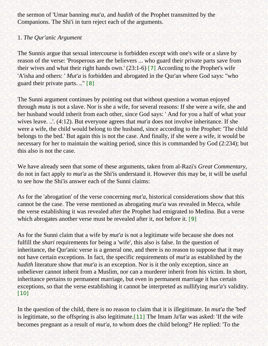the sermon of 'Umar banning *mut'a,* and *hadith* of the Prophet transmitted by the Companions. The Shi'i in turn reject each of the arguments.

## 1. *The Qur'anic Argument*

<span id="page-48-0"></span>The Sunnis argue that sexual intercourse is forbidden except with one's wife or a slave by reason of the verse: 'Prosperous are the believers ... who guard their private parts save from their wives and what their right hands own.' (23:1-6) [\[7\]](#page-62-1) According to the Prophet's wife 'A'isha and others: ' *Mut'a* is forbidden and abrogated in the Qur'an where God says: "who guard their private parts. .." [\[8\]](#page-62-2)

<span id="page-48-1"></span>The Sunni argument continues by pointing out that without question a woman enjoyed through *muta* is not a slave. Nor is she a wife, for several reasons: If she were a wife, she and her husband would inherit from each other, since God says: ' And for you a half of what your wives leave. ..'. (4:12). But everyone agrees that *mut'a* does not involve inheritance. If she were a wife, the child would belong to the husband, since according to the Prophet: 'The child belongs to the bed.' But again this is not the case. And finally, if she were a wife, it would be necessary for her to maintain the waiting period, since this is commanded by God (2:234); but this also is not the case.

We have already seen that some of these arguments, taken from al-Razi's *Great Commentary,*  do not in fact apply to *mut'a* as the Shi'is understand it. However this may be, it will be useful to see how the Shi'is answer each of the Sunni claims:

As for the 'abrogation' of the verse concerning *mut'a,* historical considerations show that this cannot be the case. The verse mentioned as abrogating *mut'a* was revealed in Mecca, while the verse establishing it was revealed after the Prophet had emigrated to Medina. But a verse which abrogates another verse must be revealed after it, not before it. [\[9\]](#page-62-3)

<span id="page-48-2"></span>As for the Sunni claim that a wife by *mut'a* is not a legitimate wife because she does not fulfill the *shari* requirements for being a 'wife', this also is false. In the question of inheritance, the Qur'anic verse is a general one, and there is no reason to suppose that it may not have certain exceptions. In fact, the specific requirements of *mut'a* as established by the *hadith* literature show that *mut'a* is an exception. Nor is it the only exception, since an unbeliever cannot inherit from a Muslim, nor can a murderer inherit from his victim. In short, inheritance pertains to permanent marriage, but even in permanent marriage it has certain exceptions, so that the verse establishing it cannot be interpreted as nullifying *mut'a's* validity. [\[10\]](#page-62-4)

<span id="page-48-3"></span>In the question of the child, there is no reason to claim that it is illegitimate. In *mut'a* the 'bed' is legitimate, so the offspring is also legitimate.[\[11\]](#page-62-5) The Imam Ja'far was asked: 'If the wife becomes pregnant as a result of *mut'a,* to whom does the child belong?' He replied: 'To the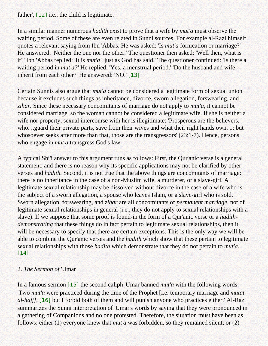<span id="page-49-0"></span>father', [\[12\]](#page-62-6) i.e., the child is legitimate.

In a similar manner numerous *hadith* exist to prove that a wife by *mut'a* must observe the waiting period. Some of these are even related in Sunni sources. For example al-Razi himself quotes a relevant saying from Ibn 'Abbas. He was asked: 'Is *mut'a* fornication or marriage?' He answered: 'Neither the one nor the other.' The questioner then asked: 'Well then, what is it?' Ibn 'Abbas replied: 'It is *mut'a',* just as God has said.' The questioner continued: 'Is there a waiting period in *mut'a?'* He replied: 'Yes, a menstrual period.' 'Do the husband and wife inherit from each other?' He answered: 'NO.' [\[13\]](#page-62-7)

<span id="page-49-1"></span>Certain Sunnis also argue that *mut'a* cannot be considered a legitimate form of sexual union because it excludes such things as inheritance, divorce, sworn allegation, forswearing, and *zihar.* Since these necessary concomitants of marriage do not apply to *mut'a,* it cannot be considered marriage, so the woman cannot be considered a legitimate wife. If she is neither a wife nor property, sexual intercourse with her is illegitimate: 'Prosperous are the believers, who. ..guard their private parts, save from their wives and what their right hands own. ..; but whosoever seeks after more than that, those are the transgressors' (23:1-7). Hence, persons who engage in *mut'a* transgress God's law.

A typical Shi'i answer to this argument runs as follows: First, the Qur'anic verse is a general statement, and there is no reason why its specific applications may not be clarified by other verses and *hadith.* Second, it is not true that the above things are concomitants of marriage: there is no inheritance in the case of a non-Muslim wife, a murderer, or a slave-girl. A legitimate sexual relationship may be dissolved without divorce in the case of a wife who is the subject of a sworn allegation, a spouse who leaves Islam, or a slave-girl who is sold. Sworn allegation, forswearing, and *zihar* are all concomitants of *permanent marriage,* not of legitimate sexual relationships in general (i.e., they do not apply to sexual relationships with a slave). If we suppose that some proof is found-in the form of a Qur'anic verse or a *hadithdemonstrating* that these things do in fact pertain to legitimate sexual relationships, then it will be necessary to specify that there are certain exceptions. This is the only way we will be able to combine the Qur'anic verses and the *hadith* which show that these pertain to legitimate sexual relationships with those *hadith* which demonstrate that they do not pertain to *mut'a.* [\[14\]](#page-62-8)

## <span id="page-49-2"></span>2. *The Sermon of* 'Umar

<span id="page-49-4"></span><span id="page-49-3"></span>In a famous sermon [\[15\]](#page-62-9) the second caliph 'Umar banned *mut'a* with the following words: 'Two *mut'a* were practiced during the time of the Prophet [i.e. temporary marriage and *mutat al-hajj],* [\[16\]](#page-62-10) but I forbid both of them and will punish anyone who practices either.' Al-Razi summarizes the Sunni interpretation of 'Umar's words by saying that they were pronounced in a gathering of Companions and no one protested. Therefore, the situation must have been as follows: either (1) everyone knew that *mut'a* was forbidden, so they remained silent; or (2)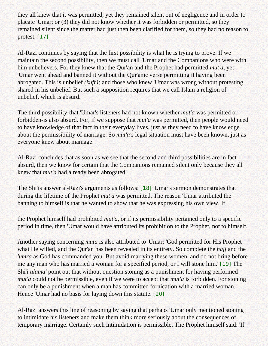they all knew that it was permitted, yet they remained silent out of negligence and in order to placate 'Umar; or (3) they did not know whether it was forbidden or permitted, so they remained silent since the matter had just then been clarified for them, so they had no reason to protest. [\[17\]](#page-62-11)

<span id="page-50-0"></span>Al-Razi continues by saying that the first possibility is what he is trying to prove. If we maintain the second possibility, then we must call *'*Umar and the Companions who were with him unbelievers. For they knew that the Qur'an and the Prophet had permitted *mut'a,* yet 'Umar went ahead and banned it without the Qur'anic verse permitting it having been abrogated. This is unbelief *(kufr);* and those who knew 'Umar was wrong without protesting shared in his unbelief. But such a supposition requires that we call Islam a religion of unbelief, which is absurd.

The third possibility-that 'Umar's listeners had not known whether *mut'a* was permitted or forbidden-is also absurd. For, if we suppose that *mut'a* was permitted, then people would need to have knowledge of that fact in their everyday lives, just as they need to have knowledge about the permissibility of marriage. So *mut'a's* legal situation must have been known, just as everyone knew about mamage.

Al-Razi concludes that as soon as we see that the second and third possibilities are in fact absurd, then we know for certain that the Companions remained silent only because they all knew that *mut'a* had already been abrogated.

<span id="page-50-1"></span>The Shi'is answer al-Razi's arguments as follows: [\[18\]](#page-62-12) 'Umar's sermon demonstrates that during the lifetime of the Prophet *mut'a* was permitted. The reason 'Umar attributed the banning to himself is that he wanted to show that he was expressing his own view. If

the Prophet himself had prohibited *mut'a,* or if its permissibility pertained only to a specific period in time, then 'Umar would have attributed its prohibition to the Prophet, not to himself.

<span id="page-50-2"></span>Another saying concerning *muta* is also attributed to 'Umar: 'God permitted for His Prophet what He willed, and the Qur'an has been revealed in its entirety. So complete the *hajj* and the *'umra* as God has commanded you. But avoid marrying these women, and do not bring before me any man who has married a woman for a specified period, or I will stone him.' [\[19\]](#page-62-13) The Shi'i *ulama'* point out that without question stoning as a punishment for having performed *mut'a* could not be permissible, even if we were to accept that *mut'a* is forbidden. For stoning can only be a punishment when a man has committed fornication with a married woman. Hence 'Umar had no basis for laying down this statute. [\[20\]](#page-62-14)

<span id="page-50-3"></span>Al-Razi answers this line of reasoning by saying that perhaps 'Umar only mentioned stoning to intimidate his listeners and make them think more seriously about the consequences of temporary marriage. Certainly such intimidation is permissible. The Prophet himself said: 'If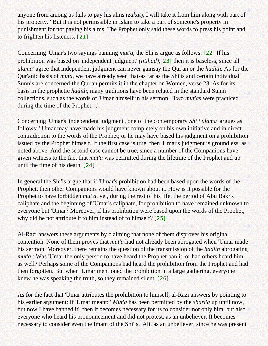anyone from among us fails to pay his alms *(zakat*), I will take it from him along with part of his property. ' But it is not permissible in Islam to take a part of someone's property in punishment for not paying his alms. The Prophet only said these words to press his point and to frighten his listeners. [\[21\]](#page-62-15)

<span id="page-51-2"></span><span id="page-51-1"></span><span id="page-51-0"></span>Concerning 'Umar's two sayings banning *mut'a,* the Shi'is argue as follows: [\[22\]](#page-62-16) If his prohibition was based on 'independent judgment' *(ijtihad),*[\[23\]](#page-63-0) then it is baseless, since all *ulama'* agree that independent judgment can never gainsay the Qur'an or the *hadith.* As for the Qur'anic basis of *muta,* we have already seen that-as far as the Shi'is and certain individual Sunnis are concerned-the Qur'an permits it in the chapter on Women, verse 23. As for its basis in the prophetic *hadith,* many traditions have been related in the standard Sunni collections, such as the words of 'Umar himself in his sermon: 'Two *mut'as* were practiced during the time of the Prophet. ..'.

Concerning 'Umar's 'independent judgment', one of the contemporary *Shi'i ulama'* argues as follows: ' Umar may have made his judgment completely on his own initiative and in direct contradiction to the words of the Prophet; or he may have based his judgment on a prohibition issued by the Prophet himself. If the first case is true, then 'Umar's judgment is groundless, as noted above. And the second case cannot be true, since a number of the Companions have given witness to the fact that *mut'a* was permitted during the lifetime of the Prophet and up until the time of his death. [\[24\]](#page-63-1)

<span id="page-51-3"></span>In general the Shi'is argue that if 'Umar's prohibition had been based upon the words of the Prophet, then other Companions would have known about it. How is it possible for the Prophet to have forbidden *mut'a,* yet, during the rest of his life, the period of Abu Bakr's caliphate and the beginning of 'Umar's caliphate, for prohibition to have remained unknown to everyone but 'Umar? Moreover, if his prohibition were based upon the words of the Prophet, why did he not attribute it to him instead of to himself? [\[25\]](#page-63-2)

<span id="page-51-4"></span>Al-Razi answers these arguments by claiming that none of them disproves his original contention. None of them proves that *mut'a* had not already been abrogated when 'Umar made his sermon. Moreover, there remains the question of the transmission of the *hadith* abrogating *mut'a* : Was 'Umar the only person to have heard the Prophet ban it, or had others heard him as well? Perhaps some of the Companions had heard the prohibition from the Prophet and had then forgotten. But when 'Umar mentioned the prohibition in a large gathering, everyone knew he was speaking the truth, so they remained silent. [\[26\]](#page-63-3)

<span id="page-51-5"></span>As for the fact that 'Umar attributes the prohibition to himself, al-Razi answers by pointing to his earlier argument: If 'Umar meant: ' *Mut'a* has been permitted by the *shari'a* up until now, but now I have banned it', then it becomes necessary for us to consider not only him, but also everyone who heard his pronouncement and did not protest, as an unbeliever. It becomes necessary to consider even the Imam of the Shi'is, 'Ali, as an unbeliever, since he was present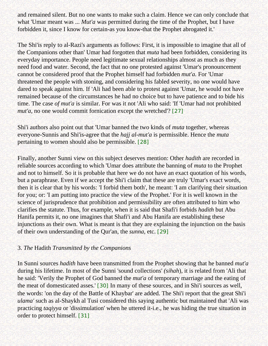and remained silent. But no one wants to make such a claim. Hence we can only conclude that what 'Umar meant was ... *Mut'a* was permitted during the time of the Prophet, but I have forbidden it, since I know for certain-as you know-that the Prophet abrogated it.'

The Shi'is reply to al-Razi's arguments as follows: First, it is impossible to imagine that all of the Companions other than' Umar had forgotten that *muta* had been forbidden, considering its everyday importance. People need legitimate sexual relationships almost as much as they need food and water. Second, the fact that no one protested against 'Umar's pronouncement cannot be considered proof that the Prophet himself had forbidden *mut'a.* For 'Umar threatened the people with stoning, and considering his fabled severity, no one would have dared to speak against him. If 'Ali had been able to protest against 'Umar, he would not have remained because of the circumstances he had no choice but to have patience and to bide his time. The case *of mut'a* is similar. For was it not 'Ali who said: 'If 'Umar had not prohibited *mut'a,* no one would commit fornication except the wretched'? [\[27\]](#page-63-4)

<span id="page-52-0"></span>Shi'i authors also point out that 'Umar banned the two kinds of *muta* together, whereas everyone-Sunnis and Shi'is-agree that the *hajj al-mut'a* is permissible. Hence the *muta*  pertaining to women should also be permissible. [\[28\]](#page-63-5)

<span id="page-52-1"></span>Finally, another Sunni view on this subject deserves mention: Other *hadith* are recorded in reliable sources according to which 'Umar does attribute the banning of *muta* to the Prophet and not to himself. So it is probable that here we do not have an exact quotation of his words, but a paraphrase. Even if we accept the Shi'i claim that these are truly 'Umar's exact words, then it is clear that by his words: 'I forbid them both', he meant: 'I am clarifying their situation for you; or: 'I am putting into practice the view of the Prophet.' For it is well known in the science of jurisprudence that prohibition and permissibility are often attributed to him who clarifies the statute. Thus, for example, when it is said that Shafi'i forbids *hadith* but Abu Hanifa permits it, no one imagines that Shafi'i and Abu Hanifa are establishing these injunctions as their own. What is meant is that they are explaining the injunction on the basis of their own understanding of the Qur'an, the *sunna,* etc. [\[29\]](#page-63-6)

### <span id="page-52-2"></span>3. *The* Hadith *Transmitted by the Companions*

<span id="page-52-4"></span><span id="page-52-3"></span>In Sunni sources *hadith* have been transmitted from the Prophet showing that he banned *mut'a*  during his lifetime. In most of the Sunni 'sound collections' *(sihah*), it is related from 'Ali that he said: 'Verily the Prophet of God banned the *mut'a* of temporary marriage and the eating of the meat of domesticated asses.' [\[30\]](#page-63-7) In many of these sources, and in Shi'i sources as well, the words: 'on the day of the Battle of Khaybar' are added. The Shi'i report that the great Shi'i *ulama'* such as al-Shaykh al Tusi considered this saying authentic but maintained that 'Ali was practicing *taqiyya* or 'dissimulation' when he uttered it-i.e., he was hiding the true situation in order to protect himself. [\[31\]](#page-63-8)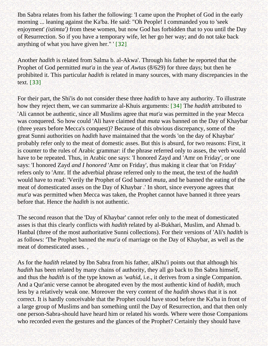Ibn Sabra relates from his father the following: 'I came upon the Prophet of God in the early morning ... leaning against the Ka'ba. He said: "Oh People! I commanded you to 'seek enjoyment' *(istimta')* from these women, but now God has forbidden that to you until the Day of Resurrection. So if you have a temporary wife, let her go her way; and do not take back anything of what you have given her." ' [\[32\]](#page-63-9)

<span id="page-53-0"></span>Another *hadith* is related from Salma b. al-Akwa'. Through his father he reported that the Prophet of God permitted *mut'a* in the year of *Awtas* (8/629) for three days; but then he prohibited it. This particular *hadith* is related in many sources, with many discrepancies in the text. [\[33\]](#page-63-10)

<span id="page-53-2"></span><span id="page-53-1"></span>For their part, the Shi'is do not consider these three *hadith* to have any authority. To illustrate how they reject them, we can summarize al-Khuis arguments: [\[34\]](#page-63-11) The *hadith* attributed to 'Ali cannot be authentic, since all Muslims agree that *mut'a* was permitted in the year Mecca was conquered. So how could 'Ali have claimed that *muta* was banned on the Day of Khaybar (three years before Mecca's conquest)? Because of this obvious discrepancy, some of the great Sunni authorities on *hadith* have maintained that the words 'on the day of Khaybar' probably refer only to the meat of domestic asses. But this is absurd, for two reasons: First, it is counter to the rules of Arabic grammar: if the phrase referred only to asses, the verb would have to be repeated. Thus, in Arabic one says: 'I honored Zayd and 'Amr on Friday', or one says: 'I honored Zayd *and I honored* 'Amr on Friday', thus making it clear that 'on Friday' refers only to 'Amr. If the adverbial phrase referred only to the meat, the text of the *hadith*  would have to read: 'Verily the Prophet of God banned *muta,* and he banned the eating of the meat of domesticated asses on the Day of Khaybar .' In short, since everyone agrees that *mut'a* was permitted when Mecca was taken, the Prophet cannot have banned it three years before that. Hence the *hadith* is not authentic.

The second reason that the 'Day of Khaybar' cannot refer only to the meat of domesticated asses is that this clearly conflicts with *hadith* related by al-Bukhari, Muslim, and Ahmad b. Hanbal (three of the most authoritative Sunni collections). For their versions of 'Ali's *hadith* is as follows: 'The Prophet banned the *mut'a* of marriage on the Day of Khaybar, as well as the meat of domesticated asses. ,

As for the *hadith* related by Ibn Sabra from his father, alKhu'i points out that although his *hadith* has been related by many chains of authority, they all go back to Ibn Sabra himself, and thus the *hadith* is of the type known as *'wahid*, i.e., it derives from a single Companion. And a Qur'anic verse cannot be abrogated even by the most authentic kind of *hadith,* much less by a relatively weak one. Moreover the very content of the *hadith* shows that it is not correct. It is hardly conceivable that the Prophet could have stood before the Ka'ba in front of a large group of Muslims and ban something until the Day of Resurrection, and that then only one person-Sabra-should have heard him or related his words. Where were those Companions who recorded even the gestures and the glances of the Prophet? Certainly they should have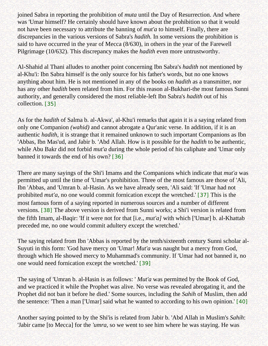joined Sabra in reporting the prohibition of *muta* until the Day of Resurrection. And where was 'Umar himself? He certainly should have known about the prohibition so that it would not have been necessary to attribute the banning of *mut'a* to himself. Finally, there are discrepancies in the various versions of Sabra's *hadith.* In some versions the prohibition is said to have occurred in the year of Mecca (8/630), in others in the year of the Farewell Pilgrimage (10/632). This discrepancy makes the *hadith* even more untrustworthy.

Al-Shahid al Thani alludes to another point concerning Ibn Sabra's *hadith* not mentioned by al-Khu'i: Ibn Sabra himself is the only source for his father's words, but no one knows anything about him. He is not mentioned in any of the books on *hadith* as a transmitter, nor has any other *hadith* been related from him. For this reason al-Bukhari-the most famous Sunni authority, and generally considered the most reliable-left Ibn Sabra's *hadith* out of his collection. [\[35\]](#page-63-12)

<span id="page-54-0"></span>As for the *hadith* of Salma b. al-Akwa', al-Khu'i remarks that again it is a saying related from only one Companion *(wahid)* and cannot abrogate a Qur'anic verse. In addition, if it is an authentic *hadith,* it is strange that it remained unknown to such important Companions as Ibn 'Abbas, Ibn Mas'ud, and Jabir b. 'Abd Allah. How is it possible for the *hadith* to be authentic, while Abu Bakr did not forbid *mut'a* during the whole period of his caliphate and 'Umar only banned it towards the end of his own? [\[36\]](#page-63-13)

<span id="page-54-2"></span><span id="page-54-1"></span>There are many sayings of the Shi'i Imams and the Companions which indicate that *mut'a* was permitted up until the time of 'Umar's prohibition. Three of the most famous are those of 'Ali, Ibn 'Abbas, and 'Umran b. al-Hasin. As we have already seen, 'Ali said: 'If 'Umar had not prohibited *mut'a,* no one would commit fornication except the wretched.' [\[37\]](#page-63-14) This is the most famous form of a saying reported in numerous sources and a number of different versions. [\[38\]](#page-63-15) The above version is derived from Sunni works; a Shi'i version is related from the fifth Imam, al-Baqir: 'If it were not for that [i.e., *mut'a]* with which ['Umar] b. al-Khattab preceded me, no one would commit adultery except the wretched.'

<span id="page-54-3"></span>The saying related from Ibn 'Abbas is reported by the tenth/sixteenth century Sunni scholar al-Suyuti in this form: 'God have mercy on 'Umar! *Mut'a* was naught but a mercy from God, through which He showed mercy to Muhammad's community. If 'Umar had not banned it, no one would need fornication except the wretched.' [\[39\]](#page-63-16)

<span id="page-54-4"></span>The saying of 'Umran b. al-Hasin is as follows: ' *Mut'a* was permitted by the Book of God, and we practiced it while the Prophet was alive. No verse was revealed abrogating it, and the Prophet did not ban it before he died.' Some sources, including the *Sahih* of Muslim, then add the sentence: 'Then a man ['Umar] said what he wanted to according to his own opinion.' [\[40\]](#page-63-17)

<span id="page-54-5"></span>Another saying pointed to by the Shi'is is related from Jabir b. 'Abd Allah in Muslim's *Sahih*: 'Jabir came [to Mecca] for the *'umra,* so we went to see him where he was staying. He was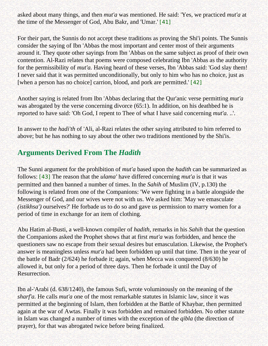asked about many things, and then *mut'a* was mentioned. He said: 'Yes, we practiced *mut'a* at the time of the Messenger of God, Abu Bakr, and 'Umar.' [\[41\]](#page-64-0)

<span id="page-55-0"></span>For their part, the Sunnis do not accept these traditions as proving the Shi'i points. The Sunnis consider the saying of Ibn 'Abbas the most important and center most of their arguments around it. They quote other sayings from Ibn 'Abbas on the same subject as proof of their own contention. Al-Razi relates that poems were composed celebrating Ibn 'Abbas as the authority for the permissibility of *mut'a.* Having heard of these verses, Ibn 'Abbas said: 'God slay them! I never said that it was permitted unconditionally, but only to him who has no choice, just as [when a person has no choice] carrion, blood, and pork are permitted.' [\[42\]](#page-64-1)

<span id="page-55-1"></span>Another saying is related from Ibn 'Abbas declaring that the Qur'anic verse permitting *mut'a*  was abrogated by the verse concerning divorce (65:1). In addition, on his deathbed he is reported to have said: 'Oh God, I repent to Thee of what I have said concerning *mut'a.* ..'.

In answer to the *hadi'th* of 'Ali, al-Razi relates the other saying attributed to him referred to above; but he has nothing to say about the other two traditions mentioned by the Shi'is.

# **Arguments Derived From The** *Hadith*

<span id="page-55-2"></span>The Sunni argument for the prohibition of *mut'a* based upon the *hadith* can be summarized as follows: [\[43\]](#page-64-2) The reason that the *ulama'* have differed concerning *mut'a* is that it was permitted and then banned a number of times. In the *Sahih* of Muslim (IV, p.130) the following is related from one of the Companions: 'We were fighting in a battle alongside the Messenger of God, and our wives were not with us. We asked him: 'May we emasculate *(istikhsa')* ourselves?' He forbade us to do so and gave us permission to marry women for a period of time in exchange for an item of clothing.

Abu Hatim al-Busti, a well-known compiler of *hadith,* remarks in his *Sahih* that the question the Companions asked the Prophet shows that at first *mut'a* was forbidden, and hence the questioners saw no escape from their sexual desires but emasculation. Likewise, the Prophet's answer is meaningless unless *mut'a* had been forbidden up until that time. Then in the year of the battle of Badr (2/624) he forbade it; again, when Mecca was conquered (8/630) he allowed it, but only for a period of three days. Then he forbade it until the Day of Resurrection.

Ibn al-'Arabi (d. 638/1240), the famous Sufi, wrote voluminously on the meaning of the *sharf'a.* He calls *mut'a* one of the most remarkable statutes in Islamic law, since it was permitted at the beginning of Islam, then forbidden at the Battle of Khaybar, then permitted again at the war of Awtas. Finally it was forbidden and remained forbidden. No other statute in Islam was changed a number of times with the exception of the *qibla* (the direction of prayer), for that was abrogated twice before being finalized.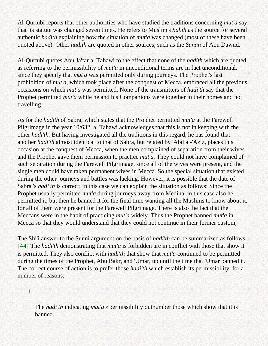Al-Qurtubi reports that other authorities who have studied the traditions concerning *mut'a* say that its statute was changed seven times. He refers to Muslim's *Sahih* as the source for several authentic *hadith* explaining how the situation of *mut'a* was changed (most of these have been quoted above). Other *hadith* are quoted in other sources, such as the *Sunan* of Abu Dawud.

Al-Qurtubi quotes Abu Ja'far al Tahawi to the effect that none of the *hadith* which are quoted as referring to the permissibility of *mut'a* in unconditional terms are in fact unconditional, since they specify that *mut'a* was permitted only during journeys. The Prophet's last prohibition of *mut'a,* which took place after the conquest of Mecca, embraced all the previous occasions on which *mut'a* was permitted. None of the transmitters of *hadi'th* say that the Prophet permitted *mut'a* while he and his Companions were together in their homes and not travelling.

As for the *hadith* of Sabra, which states that the Prophet permitted *mut'a* at the Farewell Pilgrimage in the year 10/632, al Tahawi acknowledges that this is not in keeping with the other *hadi'th.* But having investigated all the traditions in this regard, he has found that another *hadi'th* almost identical to that of Sabra, but related by 'Abd al-'Aziz, places this occasion at the conquest of Mecca, when the men complained of separation from their wives and the Prophet gave them permission to practice *mut'a.* They could not have complained of such separation during the Farewell Pilgrimage, since all of the wives were present, and the single men could have taken permanent wives in Mecca. So the special situation that existed during the other journeys and battles was lacking. However, it is possible that the date of Sabra 's *hadi'th* is correct; in this case we can explain the situation as follows: Since the Prophet usually permitted *mut'a* during journeys away from Medina, in this case also he permitted it; but then he banned it for the final time wanting all the Muslims to know about it, for all of them were present for the Farewell Pilgrimage. There is also the fact that the Meccans were in the habit of practicing *mut'a* widely. Thus the Prophet banned *mut'a* in Mecca so that they would understand that they could not continue in their former custom,

<span id="page-56-0"></span>The Shi'i answer to the Sunni argument on the basis of *hadi'th* can be summarized as follows: [\[44\]](#page-64-3) The *hadi'th* demonstrating that *mut'a* is forbidden are in conflict with those that show it is permitted. They also conflict with *hadi'th* that show that *mut'a* continued to be permitted during the times of the Prophet, Abu Bakr, and 'Umar, up until the time that 'Umar banned it. The correct course of action is to prefer those *hadi'th* which establish its permissibility, for a number of reasons:

i.

The *hadi'th* indicating *mut'a's* permissibility outnumber those which show that it is banned.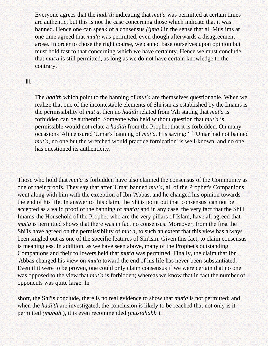Everyone agrees that the *hadi'th* indicating that *mut'a* was permitted at certain times are authentic, but this is not the case concerning those which indicate that it was banned. Hence one can speak of a consensus *(ijma')* in the sense that all Muslims at one time agreed that *mut'a* was permitted, even though afterwards a disagreement arose. In order to chose the right course, we cannot base ourselves upon opinion but must hold fast to that concerning which we have certainty. Hence we must conclude that *mut'a* is still permitted, as long as we do not have certain knowledge to the contrary.

#### iii.

The *hadith* which point to the banning of *mut'a* are themselves questionable. When we realize that one of the incontestable elements of Shi'ism as established by the Imams is the permissibility of *mut'a,* then no *hadith* related from 'Ali stating that *mut'a* is forbidden can be authentic. Someone who held without question that *mut'a* is permissible would not relate a *hadith* from the Prophet that it is forbidden. On many occasions 'Ali censured 'Umar's banning of *mut'a.* His saying: 'If 'Umar had not banned *mut'a,* no one but the wretched would practice fornication' is well-known, and no one has questioned its authenticity.

Those who hold that *mut'a* is forbidden have also claimed the consensus of the Community as one of their proofs. They say that after 'Umar banned *mut'a,* all of the Prophet's Companions went along with him with the exception of Ibn 'Abbas, and he changed his opinion towards the end of his life. In answer to this claim, the Shi'is point out that 'consensus' can not be accepted as a valid proof of the banning of *mut'a;* and in any case, the very fact that the Shi'i Imams-the Household of the Prophet-who are the very pillars of Islam, have all agreed that *mut'a* is permitted shows that there was in fact no consensus. Moreover, from the first the Shi'is have agreed on the permissibility of *mut'a,* to such an extent that this view has always been singled out as one of the specific features of Shi'ism. Given this fact, to claim consensus is meaningless. In addition, as we have seen above, many of the Prophet's outstanding Companions and their followers held that *mut'a* was permitted. Finally, the claim that Ibn 'Abbas changed his view on *mut'a* toward the end of his life has never been substantiated. Even if it were to be proven, one could only claim consensus if we were certain that no one was opposed to the view that *mut'a* is forbidden; whereas we know that in fact the number of opponents was quite large. In

short, the Shi'is conclude, there is no real evidence to show that *mut'a* is not permitted; and when the *hadi'th* are investigated, the conclusion is likely to be reached that not only is it permitted *(mubah* ), it is even recommended *(mustahabb* ).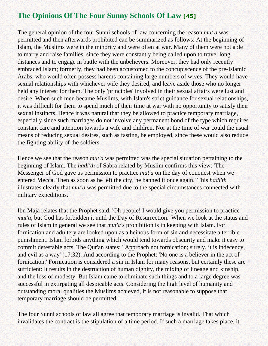# <span id="page-58-0"></span>**The Opinions Of The Four Sunny Schools Of Law [\[45\]](#page-64-4)**

The general opinion of the four Sunni schools of law concerning the reason *mut'a* was permitted and then afterwards prohibited can be summarized as follows: At the beginning of Islam, the Muslims were in the minority and were often at war. Many of them were not able to marry and raise families, since they were constantly being called upon to travel long distances and to engage in battle with the unbelievers. Moreover, they had only recently embraced Islam; formerly, they had been accustomed to the concupiscence of the pre-Islamic Arabs, who would often possess harems containing large numbers of wives. They would have sexual relationships with whichever wife they desired, and leave aside those who no longer held any interest for them. The only 'principles' involved in their sexual affairs were lust and desire. When such men became Muslims, with Islam's strict guidance for sexual relationships, it was difficult for them to spend much of their time at war with no opportunity to satisfy their sexual instincts. Hence it was natural that they be allowed to practice temporary marriage, especially since such marriages do not involve any permanent bond of the type which requires constant care and attention towards a wife and children. Nor at the time of war could the usual means of reducing sexual desires, such as fasting, be employed, since these would also reduce the fighting ability of the soldiers.

Hence we see that the reason *mut'a* was permitted was the special situation pertaining to the beginning of Islam. The *hadi'th* of Sabra related by Muslim confirms this view: 'The Messenger of God gave us permission to practice *mut'a* on the day of conquest when we entered Mecca. Then as soon as he left the city, he banned it once again.' This *hadi'th*  illustrates clearly that *mut'a* was permitted due to the special circumstances connected with military expeditions.

Ibn Maja relates that the Prophet said: 'Oh people! I would give you permission to practice *mut'a*, but God has forbidden it until the Day of Resurrection.' When we look at the status and rules of Islam in general we see that *mut'a's* prohibition is in keeping with Islam. For fornication and adultery are looked upon as a heinous form of sin and necessitate a terrible punishment. Islam forbids anything which would tend towards obscurity and make it easy to commit detestable acts. The Qur'an states: ' Approach not fornication; surely, it is indecency, and evil as a way' (17:32). And according to the Prophet: 'No one is a believer in the act of fornication.' Fornication is considered a sin in Islam for many reasons, but certainly these are sufficient: It results in the destruction of human dignity, the mixing of lineage and kinship, and the loss of modesty. But Islam came to eliminate such things and to a large degree was successful in extirpating all despicable acts. Considering the high level of humanity and outstanding moral qualities the Muslims achieved, it is not reasonable to suppose that temporary marriage should be permitted.

The four Sunni schools of law all agree that temporary marriage is invalid. That which invalidates the contract is the stipulation of a time period. If such a marriage takes place, it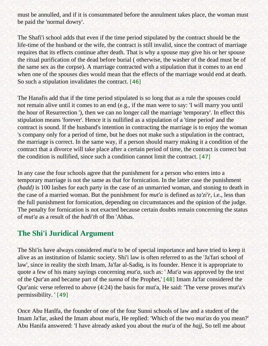must be annulled, and if it is consummated before the annulment takes place, the woman must be paid the 'normal dowry'.

The Shafi'i school adds that even if the time period stipulated by the contract should be the life-time of the husband or the wife, the contract is still invalid, since the contract of marriage requires that its effects continue after death. That is why a spouse may give his or her spouse the ritual purification of the dead before burial ( otherwise, the washer of the dead must be of the same sex as the corpse). A marriage contracted with a stipulation that it comes to an end when one of the spouses dies would mean that the effects of the marriage would end at death. So such a stipulation invalidates the contract. [\[46\]](#page-64-5)

<span id="page-59-0"></span>The Hanafis add that if the time period stipulated is so long that as a rule the spouses could not remain alive until it comes to an end (e.g., if the man were to say: 'I will marry you until the hour of Resurrection '), then we can no longer call the marriage 'temporary'. In effect this stipulation means 'forever'. Hence it is nullified as a stipulation of a 'time period' and the contract is sound. If the husband's intention in contracting the marriage is to enjoy the woman 's company only for a period of time, but he does not make such a stipulation in the contract, the marriage is correct. In the same way, if a person should marry making it a condition of the contract that a divorce will take place after a certain period of time, the contract is correct but the condition is nullified, since such a condition cannot limit the contract. [\[47\]](#page-64-6)

<span id="page-59-1"></span>In any case the four schools agree that the punishment for a person who enters into a temporary marriage is not the same as that for fornication. In the latter case the punishment *(hadd)* is 100 lashes for each party in the case of an unmarried woman, and stoning to death in the case of a married woman. But the punishment for *mut'a* is defined as *ta'zi'r,* i.e., less than the full punishment for fornication, depending on circumstances and the opinion of the judge. The penalty for fornication is not exacted because certain doubts remain concerning the status of *mut'a* as a result of the *hadi'th* of Ibn 'Abbas.

# **The Shi'i Juridical Argument**

The Shi'is have always considered *mut'a* to be of special importance and have tried to keep it alive as an institution of Islamic society. Shi'i law is often referred to as the 'Ja'fari school of law', since in reality the sixth Imam, Ja'far al-Sadiq, is its founder. Hence it is appropriate to quote a few of his many sayings concerning *mut'a,* such as: ' *Mut'a* was approved by the text of the Qur'an and became part of the *sunna* of the Prophet,' [\[48\]](#page-64-7) Imam Ja'far considered the Qur'anic verse referred to above (4:24) the basis for mut'a, He said: 'The verse proves mut'a's permissibility. ' [\[49\]](#page-64-8)

<span id="page-59-3"></span><span id="page-59-2"></span>Once Abu Hanlfa, the founder of one of the four Sunni schools of law and a student of the Imam Ja'far, asked the Imam about *mut'a,* He replied: 'Which of the two *mut'as* do you mean?' Abu Hanifa answered: 'I have already asked you about the *mut'a* of the *hajj,* So tell me about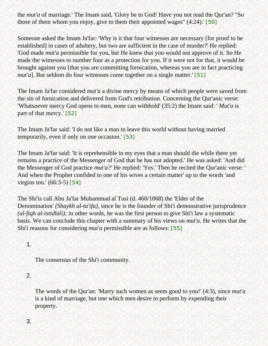the *mut'a* of marriage.' The Imam said, 'Glory be to God! Have you not read the Qur'an? "So those of them whom you enjoy, give to them their appointed wages" (4:24).' [\[50\]](#page-64-9)

<span id="page-60-0"></span>Someone asked the Imam Ja'far: 'Why is it that four witnesses are necessary [for proof to be established] in cases of adultery, but two are sufficient in the case of murder?' He replied: 'God made *mut'a* permissible for you, but He knew that you would not approve of it. So He made the witnesses to number four as a protection for you. If it were not for that, it would be brought against you [that you are committing fornication, whereas you are in fact practicing *mut'a*]. But seldom do four witnesses come together on a single matter.' [\[51\]](#page-64-10)

<span id="page-60-1"></span>The Imam Ja'far considered *mut'a* a divine mercy by means of which people were saved from the sin of fornication and delivered from God's retribution. Concerning the Qur'anic verse: 'Whatsoever mercy God opens to men, none can withhold' (35:2) the Imam said: ' *Mut'a* is part of that mercy.' [\[52\]](#page-64-11)

<span id="page-60-2"></span>The Imam Ja'far said: 'I do not like a man to leave this world without having married temporarily, even if only on one occasion.' [\[53\]](#page-64-12)

<span id="page-60-3"></span>The Imam Ja'far said: 'It is reprehensible in my eyes that a man should die while there yet remains a practice of the Messenger of God that he has not adopted.' He was asked: 'And did the Messenger of God practice *mut'a?'* He replied: 'Yes.' Then he recited the Qur'anic verse: ' And when the Prophet confided to one of his wives a certain matter' up to the words 'and virgins too.' (66:3-5) [\[54\]](#page-64-13)

<span id="page-60-4"></span>The Shi'is call Abu Ja'far Muhammad al Tusi (d. 460/1068) the 'Elder of the Denomination' *(Shaykh al-ta'ifa),* since he is the founder of Shi'i demonstrative jurisprudence *(al-fiqh al-istidlali);* in other words, he was the first person to give Shi'i law a systematic basis. We can conclude this chapter with a summary of his views on *mut'a.* He writes that the Shi'i reasons for considering *mut'a* permissible are as follows: [\[55\]](#page-64-14)

## <span id="page-60-5"></span>1.

The consensus of the Shi'i community.

## 2.

The words of the Qur'an: 'Marry such women as seem good to you!' (4:3), since *mut'a*  is a kind of marriage, but one which men desire to perform by expending their property.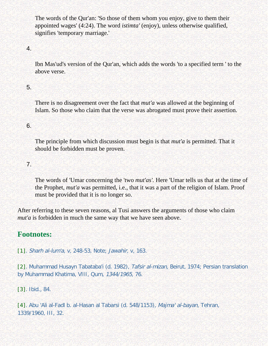The words of the Qur'an: 'So those of them whom you enjoy, give to them their appointed wages' (4:24). The word *istimta'* (enjoy), unless otherwise qualified, signifies 'temporary marriage.'

### 4.

Ibn Mas'ud's version of the Qur'an, which adds the words 'to a specified term ' to the above verse.

## 5.

There is no disagreement over the fact that *mut'a* was allowed at the beginning of Islam. So those who claim that the verse was abrogated must prove their assertion.

### 6.

The principle from which discussion must begin is that *mut'a* is permitted. That it should be forbidden must be proven.

### 7.

The words of 'Umar concerning the 'two *mut'as'.* Here 'Umar tells us that at the time of the Prophet, *mut'a* was permitted, i.e., that it was a part of the religion of Islam. Proof must be provided that it is no longer so.

After referring to these seven reasons, al Tusi answers the arguments of those who claim *mut'a* is forbidden in much the same way that we have seen above.

## <span id="page-61-0"></span>**Footnotes:**

[\[1\]](#page-45-1). Sharh al-lum'a, v, 248-53, Note; Jawahir, v, 163.

<span id="page-61-1"></span>[\[2\]](#page-46-0). Muhammad Husayn Tabataba'i (d. 1982), Tafsir al-mizan, Beirut, 1974; Persian translation by Muhammad Khatima, VIII, Qum, 1344/1965, 76.

<span id="page-61-2"></span>[\[3\]](#page-46-1). Ibid., 84.

<span id="page-61-4"></span><span id="page-61-3"></span>[\[4\]](#page-47-0). Abu 'Ali al-Fadl b. al-Hasan al Tabarsi (d. 548/1153), Majma' al-bayan, Tehran, 1339/1960, III, 32.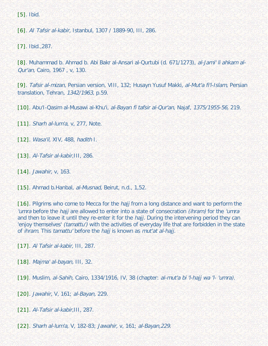[\[5\]](#page-47-1). Ibid.

<span id="page-62-0"></span>[\[6\]](#page-47-2). AI Tafsir al-kabir, Istanbul, 1307 / 1889-90, III, 286.

<span id="page-62-1"></span>[\[7\]](#page-48-0). Ibid.,287.

<span id="page-62-2"></span>[\[8\]](#page-48-1). Muhammad b. Ahmad b. Abi Bakr al-Ansari al-Qurtubi (d. 671/1273), al-Jami' li ahkam al-Qur'an, Cairo, 1967 , v, 130.

<span id="page-62-3"></span>[\[9\]](#page-48-2). Tafsir al-mizan, Persian version, VIII, 132; Husayn Yusuf Makki, al-Mut'a fi'l-Islam, Persian translation, Tehran, 1342/1963, p.59.

<span id="page-62-4"></span>[\[10\]](#page-48-3). Abu'l-Qasim al-Musawi al-Khu'i, al-Bayan fi tafsir al-Qur'an, Najaf, 1375/1955-56, 219.

<span id="page-62-5"></span>[\[11\]](#page-62-5). *Sharh al-lum'a, v, 277, Note.* 

<span id="page-62-6"></span>[\[12\]](#page-49-0). *Wasa'il, XIV*, 488, hadith I.

- <span id="page-62-7"></span>[\[13\]](#page-49-1). Al-Tafsir al-kabir, III, 286.
- <span id="page-62-8"></span>[\[14\]](#page-49-2). Jawahir, v, 163.

<span id="page-62-9"></span>[\[15\]](#page-49-3). Ahmad b.Hanbal, al-Musnad, Beirut, n.d., 1,52.

<span id="page-62-10"></span>[\[16\]](#page-49-4). Pilgrims who come to Mecca for the *hajj* from a long distance and want to perform the 'umra before the hajj are allowed to enter into a state of consecration *(ihram)* for the 'umra and then to leave it until they re-enter it for the *hajj*. During the intervening period they can 'enjoy themselves' (tamattu') with the activities of everyday life that are forbidden in the state of ihram. This tamattu' before the hajj is known as mut'at al-hajj.

<span id="page-62-11"></span>[\[17\]](#page-50-0). Al Tafsir al-kabir, III, 287.

<span id="page-62-12"></span>[\[18\]](#page-50-1). Majma' al-bayan, III, 32.

<span id="page-62-13"></span>[\[19\]](#page-50-2). Muslim, al-Sahih, Cairo, 1334/1916, IV, 38 (chapter: al-mut'a bi 'l-hajj wa 'l- 'umra).

<span id="page-62-14"></span>[\[20\]](#page-50-3). Jawahir, V, 161; al-Bayan, 229.

<span id="page-62-15"></span>[\[21\]](#page-51-0). Al-Tafsir al-kabir,III, 287.

<span id="page-62-16"></span>[\[22\]](#page-51-1). Sharh al-lum'a, V, 182-83; Jawahir, v, 161; al-Bayan,229.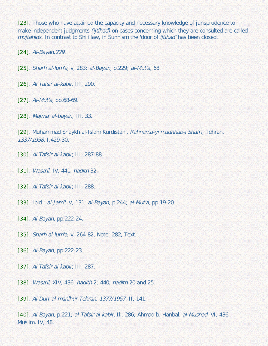<span id="page-63-0"></span>[\[23\]](#page-51-2). Those who have attained the capacity and necessary knowledge of jurisprudence to make independent judgments *(ijtihad)* on cases concerning which they are consulted are called mujtahids. In contrast to Shi'i law, in Sunnism the 'door of ijtihad' has been closed.

<span id="page-63-1"></span>[\[24\]](#page-51-3). Al-Bayan,229.

<span id="page-63-2"></span>[\[25\]](#page-51-4). Sharh al-lum'a, v, 283; al-Bayan, p.229; al-Mut'a, 68.

<span id="page-63-3"></span>[\[26\]](#page-51-5). Al Tafsir al-kabir, III, 290.

<span id="page-63-4"></span>[\[27\]](#page-52-0). Al-Mut'a, pp.68-69.

<span id="page-63-5"></span>[\[28\]](#page-52-1). Majma' al-bayan, III, 33.

<span id="page-63-6"></span>[\[29\]](#page-52-2). Muhammad Shaykh al-Islam Kurdistani, Rahnama-yi madhhab-i Shafi'i, Tehran, 1337/1958, I,429-30.

<span id="page-63-7"></span>[\[30\]](#page-52-3). Al Tafsir al-kabir, III, 287-88.

<span id="page-63-8"></span>[\[31\]](#page-52-4). Wasa'il, IV, 441, hadith 32.

<span id="page-63-9"></span>[\[32\]](#page-53-0). Al Tafsir al-kabir, III, 288.

<span id="page-63-10"></span>[\[33\]](#page-53-1). Ibid.; al-Jami', V, 131; al-Bayan, p.244; al-Mut'a, pp.19-20.

<span id="page-63-11"></span>[\[34\]](#page-53-2). Al-Bayan, pp. 222-24.

<span id="page-63-12"></span>[\[35\]](#page-54-0). Sharh al-lum'a, v, 264-82, Note; 282, Text.

<span id="page-63-13"></span>[\[36\]](#page-54-1). Al-Bayan, pp.222-23.

<span id="page-63-14"></span>[\[37\]](#page-54-2). Al Tafsir al-kabir, III, 287.

<span id="page-63-15"></span>[\[38\]](#page-54-3). Wasa'il, XIV, 436, hadith 2; 440, hadith 20 and 25.

<span id="page-63-16"></span>[\[39\]](#page-54-4). Al-Durr al-manlhur, Tehran, 1377/1957, II, 141.

<span id="page-63-17"></span>[\[40\]](#page-54-5). Al-Bayan, p.221; al-Tafsir al-kabir, Ill, 286; Ahmad b. Hanbal, al-Musnad, VI, 436; Muslim, IV, 48.